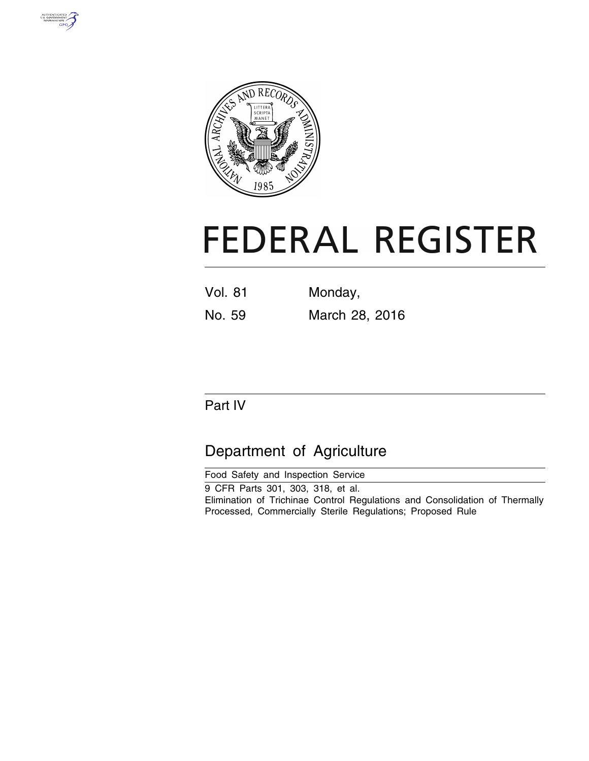



# **FEDERAL REGISTER**

| Vol. 81 | Monday, |
|---------|---------|
|         |         |

No. 59 March 28, 2016

# Part IV

# Department of Agriculture

| Food Safety and Inspection Service                                          |
|-----------------------------------------------------------------------------|
| 9 CFR Parts 301, 303, 318, et al.                                           |
| Elimination of Trichinae Control Regulations and Consolidation of Thermally |
| Processed, Commercially Sterile Regulations; Proposed Rule                  |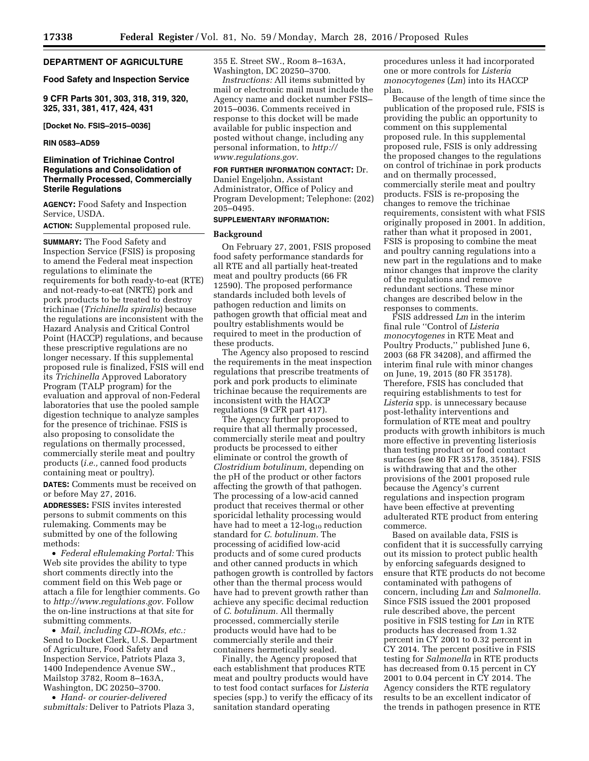# **DEPARTMENT OF AGRICULTURE**

# **Food Safety and Inspection Service**

**9 CFR Parts 301, 303, 318, 319, 320, 325, 331, 381, 417, 424, 431** 

**[Docket No. FSIS–2015–0036]** 

#### **RIN 0583–AD59**

# **Elimination of Trichinae Control Regulations and Consolidation of Thermally Processed, Commercially Sterile Regulations**

**AGENCY:** Food Safety and Inspection Service, USDA.

**ACTION:** Supplemental proposed rule.

**SUMMARY:** The Food Safety and Inspection Service (FSIS) is proposing to amend the Federal meat inspection regulations to eliminate the requirements for both ready-to-eat (RTE) and not-ready-to-eat (NRTE) pork and pork products to be treated to destroy trichinae (*Trichinella spiralis*) because the regulations are inconsistent with the Hazard Analysis and Critical Control Point (HACCP) regulations, and because these prescriptive regulations are no longer necessary. If this supplemental proposed rule is finalized, FSIS will end its *Trichinella* Approved Laboratory Program (TALP program) for the evaluation and approval of non-Federal laboratories that use the pooled sample digestion technique to analyze samples for the presence of trichinae. FSIS is also proposing to consolidate the regulations on thermally processed, commercially sterile meat and poultry products (*i.e.,* canned food products containing meat or poultry).

**DATES:** Comments must be received on or before May 27, 2016.

**ADDRESSES:** FSIS invites interested persons to submit comments on this rulemaking. Comments may be submitted by one of the following methods:

• *Federal eRulemaking Portal:* This Web site provides the ability to type short comments directly into the comment field on this Web page or attach a file for lengthier comments. Go to *[http://www.regulations.gov.](http://www.regulations.gov)* Follow the on-line instructions at that site for submitting comments.

• *Mail, including CD–ROMs, etc.:*  Send to Docket Clerk, U.S. Department of Agriculture, Food Safety and Inspection Service, Patriots Plaza 3, 1400 Independence Avenue SW., Mailstop 3782, Room 8–163A, Washington, DC 20250–3700.

• *Hand- or courier-delivered submittals:* Deliver to Patriots Plaza 3, 355 E. Street SW., Room 8–163A, Washington, DC 20250–3700.

*Instructions:* All items submitted by mail or electronic mail must include the Agency name and docket number FSIS– 2015–0036. Comments received in response to this docket will be made available for public inspection and posted without change, including any personal information, to *[http://](http://www.regulations.gov) [www.regulations.gov.](http://www.regulations.gov)* 

# **FOR FURTHER INFORMATION CONTACT:** Dr.

Daniel Engeljohn, Assistant Administrator, Office of Policy and Program Development; Telephone: (202) 205–0495.

# **SUPPLEMENTARY INFORMATION:**

#### **Background**

On February 27, 2001, FSIS proposed food safety performance standards for all RTE and all partially heat-treated meat and poultry products (66 FR 12590). The proposed performance standards included both levels of pathogen reduction and limits on pathogen growth that official meat and poultry establishments would be required to meet in the production of these products.

The Agency also proposed to rescind the requirements in the meat inspection regulations that prescribe treatments of pork and pork products to eliminate trichinae because the requirements are inconsistent with the HACCP regulations (9 CFR part 417).

The Agency further proposed to require that all thermally processed, commercially sterile meat and poultry products be processed to either eliminate or control the growth of *Clostridium botulinum,* depending on the pH of the product or other factors affecting the growth of that pathogen. The processing of a low-acid canned product that receives thermal or other sporicidal lethality processing would have had to meet a  $12$ -log<sub>10</sub> reduction standard for *C. botulinum.* The processing of acidified low-acid products and of some cured products and other canned products in which pathogen growth is controlled by factors other than the thermal process would have had to prevent growth rather than achieve any specific decimal reduction of *C. botulinum.* All thermally processed, commercially sterile products would have had to be commercially sterile and their containers hermetically sealed.

Finally, the Agency proposed that each establishment that produces RTE meat and poultry products would have to test food contact surfaces for *Listeria*  species (spp.) to verify the efficacy of its sanitation standard operating

procedures unless it had incorporated one or more controls for *Listeria monocytogenes* (*Lm*) into its HACCP plan.

Because of the length of time since the publication of the proposed rule, FSIS is providing the public an opportunity to comment on this supplemental proposed rule. In this supplemental proposed rule, FSIS is only addressing the proposed changes to the regulations on control of trichinae in pork products and on thermally processed, commercially sterile meat and poultry products. FSIS is re-proposing the changes to remove the trichinae requirements, consistent with what FSIS originally proposed in 2001. In addition, rather than what it proposed in 2001, FSIS is proposing to combine the meat and poultry canning regulations into a new part in the regulations and to make minor changes that improve the clarity of the regulations and remove redundant sections. These minor changes are described below in the responses to comments.

FSIS addressed *Lm* in the interim final rule ''Control of *Listeria monocytogenes* in RTE Meat and Poultry Products,'' published June 6, 2003 (68 FR 34208), and affirmed the interim final rule with minor changes on June, 19, 2015 (80 FR 35178). Therefore, FSIS has concluded that requiring establishments to test for *Listeria* spp. is unnecessary because post-lethality interventions and formulation of RTE meat and poultry products with growth inhibitors is much more effective in preventing listeriosis than testing product or food contact surfaces (see 80 FR 35178, 35184). FSIS is withdrawing that and the other provisions of the 2001 proposed rule because the Agency's current regulations and inspection program have been effective at preventing adulterated RTE product from entering commerce.

Based on available data, FSIS is confident that it is successfully carrying out its mission to protect public health by enforcing safeguards designed to ensure that RTE products do not become contaminated with pathogens of concern, including *Lm* and *Salmonella.*  Since FSIS issued the 2001 proposed rule described above, the percent positive in FSIS testing for *Lm* in RTE products has decreased from 1.32 percent in CY 2001 to 0.32 percent in CY 2014. The percent positive in FSIS testing for *Salmonella* in RTE products has decreased from 0.15 percent in CY 2001 to 0.04 percent in CY 2014. The Agency considers the RTE regulatory results to be an excellent indicator of the trends in pathogen presence in RTE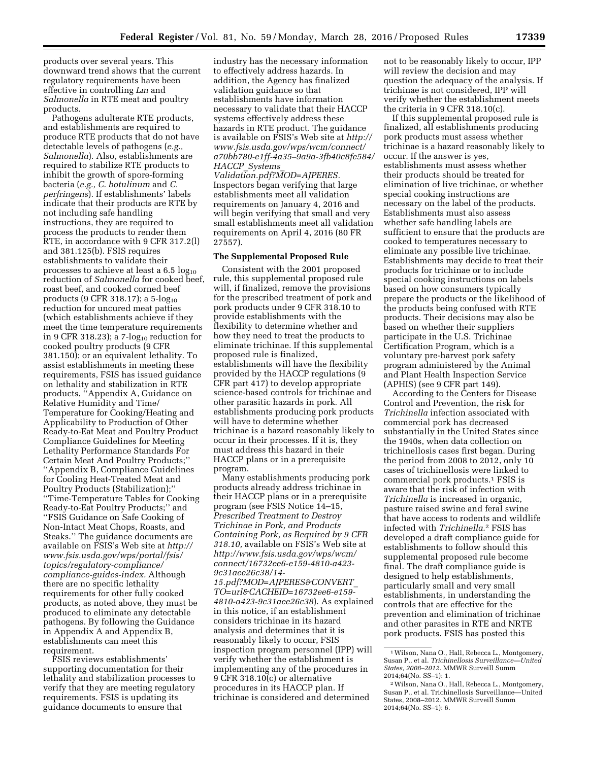products over several years. This downward trend shows that the current regulatory requirements have been effective in controlling *Lm* and *Salmonella* in RTE meat and poultry products.

Pathogens adulterate RTE products, and establishments are required to produce RTE products that do not have detectable levels of pathogens (*e.g., Salmonella*). Also, establishments are required to stabilize RTE products to inhibit the growth of spore-forming bacteria (*e.g., C. botulinum* and *C. perfringens*). If establishments' labels indicate that their products are RTE by not including safe handling instructions, they are required to process the products to render them RTE, in accordance with 9 CFR 317.2(l) and 381.125(b). FSIS requires establishments to validate their processes to achieve at least a  $6.5 \log_{10}$ reduction of *Salmonella* for cooked beef, roast beef, and cooked corned beef products (9 CFR 318.17); a  $5\text{-}log_{10}$ reduction for uncured meat patties (which establishments achieve if they meet the time temperature requirements in 9 CFR 318.23); a  $7$ -log<sub>10</sub> reduction for cooked poultry products (9 CFR 381.150); or an equivalent lethality. To assist establishments in meeting these requirements, FSIS has issued guidance on lethality and stabilization in RTE products, ''Appendix A, Guidance on Relative Humidity and Time/ Temperature for Cooking/Heating and Applicability to Production of Other Ready-to-Eat Meat and Poultry Product Compliance Guidelines for Meeting Lethality Performance Standards For Certain Meat And Poultry Products;'' ''Appendix B, Compliance Guidelines for Cooling Heat-Treated Meat and Poultry Products (Stabilization);'' ''Time-Temperature Tables for Cooking Ready-to-Eat Poultry Products;'' and ''FSIS Guidance on Safe Cooking of Non-Intact Meat Chops, Roasts, and Steaks.'' The guidance documents are available on FSIS's Web site at *[http://](http://www.fsis.usda.gov/wps/portal/fsis/topics/regulatory-compliance/compliance-guides-index) [www.fsis.usda.gov/wps/portal/fsis/](http://www.fsis.usda.gov/wps/portal/fsis/topics/regulatory-compliance/compliance-guides-index) [topics/regulatory-compliance/](http://www.fsis.usda.gov/wps/portal/fsis/topics/regulatory-compliance/compliance-guides-index) [compliance-guides-index.](http://www.fsis.usda.gov/wps/portal/fsis/topics/regulatory-compliance/compliance-guides-index)* Although there are no specific lethality requirements for other fully cooked products, as noted above, they must be produced to eliminate any detectable pathogens. By following the Guidance in Appendix A and Appendix B, establishments can meet this requirement.

FSIS reviews establishments' supporting documentation for their lethality and stabilization processes to verify that they are meeting regulatory requirements. FSIS is updating its guidance documents to ensure that

industry has the necessary information to effectively address hazards. In addition, the Agency has finalized validation guidance so that establishments have information necessary to validate that their HACCP systems effectively address these hazards in RTE product. The guidance is available on FSIS's Web site at *[http://](http://www.fsis.usda.gov/wps/wcm/connect/a70bb780-e1ff-4a35-9a9a-3fb40c8fe584/HACCP_Systems_Validation.pdf?MOD=AJPERES)  [www.fsis.usda.gov/wps/wcm/connect/](http://www.fsis.usda.gov/wps/wcm/connect/a70bb780-e1ff-4a35-9a9a-3fb40c8fe584/HACCP_Systems_Validation.pdf?MOD=AJPERES) [a70bb780-e1ff-4a35–9a9a-3fb40c8fe584/](http://www.fsis.usda.gov/wps/wcm/connect/a70bb780-e1ff-4a35-9a9a-3fb40c8fe584/HACCP_Systems_Validation.pdf?MOD=AJPERES) HACCP*\_*[Systems](http://www.fsis.usda.gov/wps/wcm/connect/a70bb780-e1ff-4a35-9a9a-3fb40c8fe584/HACCP_Systems_Validation.pdf?MOD=AJPERES)*\_

*[Validation.pdf?MOD=AJPERES.](http://www.fsis.usda.gov/wps/wcm/connect/a70bb780-e1ff-4a35-9a9a-3fb40c8fe584/HACCP_Systems_Validation.pdf?MOD=AJPERES)*  Inspectors began verifying that large establishments meet all validation requirements on January 4, 2016 and will begin verifying that small and very small establishments meet all validation requirements on April 4, 2016 (80 FR 27557).

# **The Supplemental Proposed Rule**

Consistent with the 2001 proposed rule, this supplemental proposed rule will, if finalized, remove the provisions for the prescribed treatment of pork and pork products under 9 CFR 318.10 to provide establishments with the flexibility to determine whether and how they need to treat the products to eliminate trichinae. If this supplemental proposed rule is finalized, establishments will have the flexibility provided by the HACCP regulations (9 CFR part 417) to develop appropriate science-based controls for trichinae and other parasitic hazards in pork. All establishments producing pork products will have to determine whether trichinae is a hazard reasonably likely to occur in their processes. If it is, they must address this hazard in their HACCP plans or in a prerequisite program.

Many establishments producing pork products already address trichinae in their HACCP plans or in a prerequisite program (see FSIS Notice 14–15, *Prescribed Treatment to Destroy Trichinae in Pork, and Products Containing Pork, as Required by 9 CFR 318.10,* available on FSIS's Web site at *[http://www.fsis.usda.gov/wps/wcm/](http://www.fsis.usda.gov/wps/wcm/connect/16732ee6-e159-4810-a423-9c31aee26c38/14-15.pdf?MOD=AJPERES&CONVERT_TO=url&CACHEID=16732ee6-e159-4810-a423-9c31aee26c38) [connect/16732ee6-e159-4810-a423-](http://www.fsis.usda.gov/wps/wcm/connect/16732ee6-e159-4810-a423-9c31aee26c38/14-15.pdf?MOD=AJPERES&CONVERT_TO=url&CACHEID=16732ee6-e159-4810-a423-9c31aee26c38)  [9c31aee26c38/14-](http://www.fsis.usda.gov/wps/wcm/connect/16732ee6-e159-4810-a423-9c31aee26c38/14-15.pdf?MOD=AJPERES&CONVERT_TO=url&CACHEID=16732ee6-e159-4810-a423-9c31aee26c38)  [15.pdf?MOD=AJPERES&CONVERT](http://www.fsis.usda.gov/wps/wcm/connect/16732ee6-e159-4810-a423-9c31aee26c38/14-15.pdf?MOD=AJPERES&CONVERT_TO=url&CACHEID=16732ee6-e159-4810-a423-9c31aee26c38)*\_ *[TO=url&CACHEID=16732ee6-e159-](http://www.fsis.usda.gov/wps/wcm/connect/16732ee6-e159-4810-a423-9c31aee26c38/14-15.pdf?MOD=AJPERES&CONVERT_TO=url&CACHEID=16732ee6-e159-4810-a423-9c31aee26c38)* 

*[4810-a423-9c31aee26c38](http://www.fsis.usda.gov/wps/wcm/connect/16732ee6-e159-4810-a423-9c31aee26c38/14-15.pdf?MOD=AJPERES&CONVERT_TO=url&CACHEID=16732ee6-e159-4810-a423-9c31aee26c38)*). As explained in this notice, if an establishment considers trichinae in its hazard analysis and determines that it is reasonably likely to occur, FSIS inspection program personnel (IPP) will verify whether the establishment is implementing any of the procedures in 9 CFR 318.10(c) or alternative procedures in its HACCP plan. If trichinae is considered and determined

not to be reasonably likely to occur, IPP will review the decision and may question the adequacy of the analysis. If trichinae is not considered, IPP will verify whether the establishment meets the criteria in 9 CFR 318.10(c).

If this supplemental proposed rule is finalized, all establishments producing pork products must assess whether trichinae is a hazard reasonably likely to occur. If the answer is yes, establishments must assess whether their products should be treated for elimination of live trichinae, or whether special cooking instructions are necessary on the label of the products. Establishments must also assess whether safe handling labels are sufficient to ensure that the products are cooked to temperatures necessary to eliminate any possible live trichinae. Establishments may decide to treat their products for trichinae or to include special cooking instructions on labels based on how consumers typically prepare the products or the likelihood of the products being confused with RTE products. Their decisions may also be based on whether their suppliers participate in the U.S. Trichinae Certification Program, which is a voluntary pre-harvest pork safety program administered by the Animal and Plant Health Inspection Service (APHIS) (see 9 CFR part 149).

According to the Centers for Disease Control and Prevention, the risk for *Trichinella* infection associated with commercial pork has decreased substantially in the United States since the 1940s, when data collection on trichinellosis cases first began. During the period from 2008 to 2012, only 10 cases of trichinellosis were linked to commercial pork products.1 FSIS is aware that the risk of infection with *Trichinella* is increased in organic, pasture raised swine and feral swine that have access to rodents and wildlife infected with *Trichinella.*2 FSIS has developed a draft compliance guide for establishments to follow should this supplemental proposed rule become final. The draft compliance guide is designed to help establishments, particularly small and very small establishments, in understanding the controls that are effective for the prevention and elimination of trichinae and other parasites in RTE and NRTE pork products. FSIS has posted this

<sup>1</sup>Wilson, Nana O., Hall, Rebecca L., Montgomery, Susan P., et al. *Trichinellosis Surveillance—United States, 2008–2012.* MMWR Surveill Summ 2014;64(No. SS–1): 1.

<sup>2</sup>Wilson, Nana O., Hall, Rebecca L., Montgomery, Susan P., et al. Trichinellosis Surveillance—United States, 2008–2012. MMWR Surveill Summ 2014;64(No. SS–1): 6.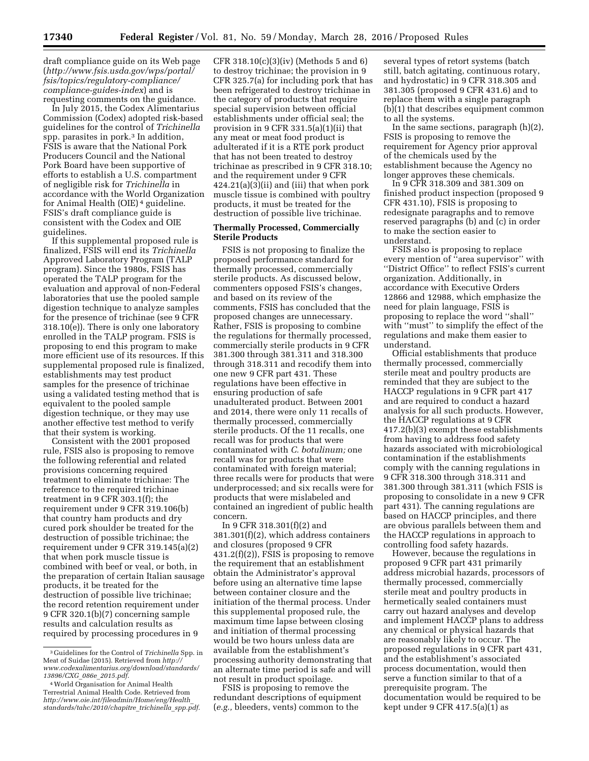draft compliance guide on its Web page (*[http://www.fsis.usda.gov/wps/portal/](http://www.fsis.usda.gov/wps/portal/fsis/topics/regulatory-compliance/compliance-guides-index) [fsis/topics/regulatory-compliance/](http://www.fsis.usda.gov/wps/portal/fsis/topics/regulatory-compliance/compliance-guides-index) [compliance-guides-index](http://www.fsis.usda.gov/wps/portal/fsis/topics/regulatory-compliance/compliance-guides-index)*) and is requesting comments on the guidance.

In July 2015, the Codex Alimentarius Commission (Codex) adopted risk-based guidelines for the control of *Trichinella*  spp. parasites in pork.<sup>3</sup> In addition, FSIS is aware that the National Pork Producers Council and the National Pork Board have been supportive of efforts to establish a U.S. compartment of negligible risk for *Trichinella* in accordance with the World Organization for Animal Health (OIE) 4 guideline. FSIS's draft compliance guide is consistent with the Codex and OIE guidelines.

If this supplemental proposed rule is finalized, FSIS will end its *Trichinella*  Approved Laboratory Program (TALP program). Since the 1980s, FSIS has operated the TALP program for the evaluation and approval of non-Federal laboratories that use the pooled sample digestion technique to analyze samples for the presence of trichinae (see 9 CFR 318.10(e)). There is only one laboratory enrolled in the TALP program. FSIS is proposing to end this program to make more efficient use of its resources. If this supplemental proposed rule is finalized, establishments may test product samples for the presence of trichinae using a validated testing method that is equivalent to the pooled sample digestion technique, or they may use another effective test method to verify that their system is working.

Consistent with the 2001 proposed rule, FSIS also is proposing to remove the following referential and related provisions concerning required treatment to eliminate trichinae: The reference to the required trichinae treatment in 9 CFR 303.1(f); the requirement under 9 CFR 319.106(b) that country ham products and dry cured pork shoulder be treated for the destruction of possible trichinae; the requirement under 9 CFR 319.145(a)(2) that when pork muscle tissue is combined with beef or veal, or both, in the preparation of certain Italian sausage products, it be treated for the destruction of possible live trichinae; the record retention requirement under 9 CFR 320.1(b)(7) concerning sample results and calculation results as required by processing procedures in 9

CFR 318.10(c)(3)(iv) (Methods 5 and 6) to destroy trichinae; the provision in 9 CFR 325.7(a) for including pork that has been refrigerated to destroy trichinae in the category of products that require special supervision between official establishments under official seal; the provision in 9 CFR 331.5(a)(1)(ii) that any meat or meat food product is adulterated if it is a RTE pork product that has not been treated to destroy trichinae as prescribed in 9 CFR 318.10; and the requirement under 9 CFR 424.21(a)(3)(ii) and (iii) that when pork muscle tissue is combined with poultry products, it must be treated for the destruction of possible live trichinae.

# **Thermally Processed, Commercially Sterile Products**

FSIS is not proposing to finalize the proposed performance standard for thermally processed, commercially sterile products. As discussed below, commenters opposed FSIS's changes, and based on its review of the comments, FSIS has concluded that the proposed changes are unnecessary. Rather, FSIS is proposing to combine the regulations for thermally processed, commercially sterile products in 9 CFR 381.300 through 381.311 and 318.300 through 318.311 and recodify them into one new 9 CFR part 431. These regulations have been effective in ensuring production of safe unadulterated product. Between 2001 and 2014, there were only 11 recalls of thermally processed, commercially sterile products. Of the 11 recalls, one recall was for products that were contaminated with *C. botulinum;* one recall was for products that were contaminated with foreign material; three recalls were for products that were underprocessed; and six recalls were for products that were mislabeled and contained an ingredient of public health concern.

In 9 CFR 318.301(f)(2) and 381.301(f)(2), which address containers and closures (proposed 9 CFR  $431.2(f)(2)$ , FSIS is proposing to remove the requirement that an establishment obtain the Administrator's approval before using an alternative time lapse between container closure and the initiation of the thermal process. Under this supplemental proposed rule, the maximum time lapse between closing and initiation of thermal processing would be two hours unless data are available from the establishment's processing authority demonstrating that an alternate time period is safe and will not result in product spoilage.

FSIS is proposing to remove the redundant descriptions of equipment (*e.g.,* bleeders, vents) common to the

several types of retort systems (batch still, batch agitating, continuous rotary, and hydrostatic) in 9 CFR 318.305 and 381.305 (proposed 9 CFR 431.6) and to replace them with a single paragraph (b)(1) that describes equipment common to all the systems.

In the same sections, paragraph (h)(2), FSIS is proposing to remove the requirement for Agency prior approval of the chemicals used by the establishment because the Agency no longer approves these chemicals.

In 9 CFR 318.309 and 381.309 on finished product inspection (proposed 9 CFR 431.10), FSIS is proposing to redesignate paragraphs and to remove reserved paragraphs (b) and (c) in order to make the section easier to understand.

FSIS also is proposing to replace every mention of ''area supervisor'' with ''District Office'' to reflect FSIS's current organization. Additionally, in accordance with Executive Orders 12866 and 12988, which emphasize the need for plain language, FSIS is proposing to replace the word ''shall'' with ''must'' to simplify the effect of the regulations and make them easier to understand.

Official establishments that produce thermally processed, commercially sterile meat and poultry products are reminded that they are subject to the HACCP regulations in 9 CFR part 417 and are required to conduct a hazard analysis for all such products. However, the HACCP regulations at 9 CFR 417.2(b)(3) exempt these establishments from having to address food safety hazards associated with microbiological contamination if the establishments comply with the canning regulations in 9 CFR 318.300 through 318.311 and 381.300 through 381.311 (which FSIS is proposing to consolidate in a new 9 CFR part 431). The canning regulations are based on HACCP principles, and there are obvious parallels between them and the HACCP regulations in approach to controlling food safety hazards.

However, because the regulations in proposed 9 CFR part 431 primarily address microbial hazards, processors of thermally processed, commercially sterile meat and poultry products in hermetically sealed containers must carry out hazard analyses and develop and implement HACCP plans to address any chemical or physical hazards that are reasonably likely to occur. The proposed regulations in 9 CFR part 431, and the establishment's associated process documentation, would then serve a function similar to that of a prerequisite program. The documentation would be required to be kept under 9 CFR 417.5(a)(1) as

<sup>3</sup> Guidelines for the Control of *Trichinella* Spp. in Meat of Suidae (2015). Retrieved from *[http://](http://www.codexalimentarius.org/download/standards/13896/CXG_086e_2015.pdf) [www.codexalimentarius.org/download/standards/](http://www.codexalimentarius.org/download/standards/13896/CXG_086e_2015.pdf) [13896/CXG](http://www.codexalimentarius.org/download/standards/13896/CXG_086e_2015.pdf)*\_*086e*\_*2015.pdf*.

<sup>4</sup>World Organisation for Animal Health Terrestrial Animal Health Code. Retrieved from *[http://www.oie.int/fileadmin/Home/eng/Health](http://www.oie.int/fileadmin/Home/eng/Health_standards/tahc/2010/chapitre_trichinella_spp.pdf)*\_ *[standards/tahc/2010/chapitre](http://www.oie.int/fileadmin/Home/eng/Health_standards/tahc/2010/chapitre_trichinella_spp.pdf)*\_*trichinella*\_*spp.pdf*.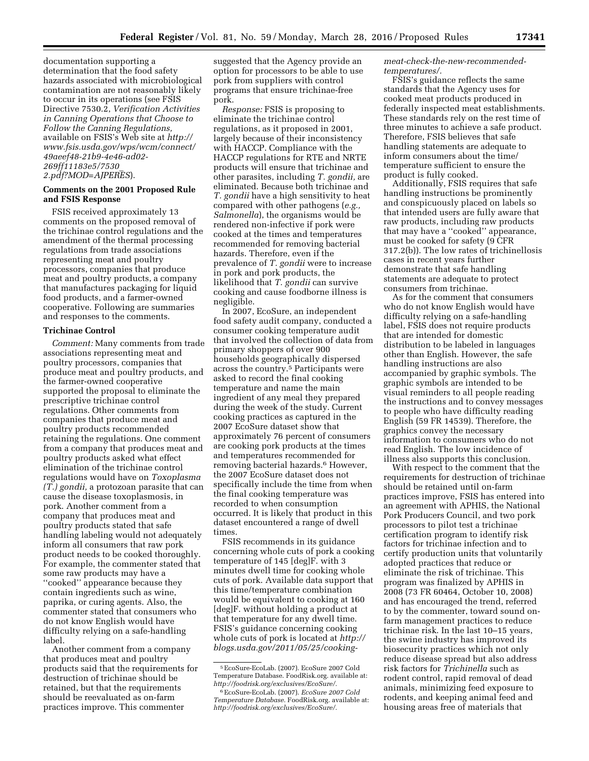documentation supporting a determination that the food safety hazards associated with microbiological contamination are not reasonably likely to occur in its operations (see FSIS Directive 7530.2, *Verification Activities in Canning Operations that Choose to Follow the Canning Regulations,*  available on FSIS's Web site at *[http://](http://www.fsis.usda.gov/wps/wcm/connect/49aeef48-21b9-4e46-ad02-269ff11183e5/7530_2.pdf?MOD=AJPERES) [www.fsis.usda.gov/wps/wcm/connect/](http://www.fsis.usda.gov/wps/wcm/connect/49aeef48-21b9-4e46-ad02-269ff11183e5/7530_2.pdf?MOD=AJPERES) [49aeef48-21b9-4e46-ad02-](http://www.fsis.usda.gov/wps/wcm/connect/49aeef48-21b9-4e46-ad02-269ff11183e5/7530_2.pdf?MOD=AJPERES) [269ff11183e5/7530](http://www.fsis.usda.gov/wps/wcm/connect/49aeef48-21b9-4e46-ad02-269ff11183e5/7530_2.pdf?MOD=AJPERES)*\_ *[2.pdf?MOD=AJPERES](http://www.fsis.usda.gov/wps/wcm/connect/49aeef48-21b9-4e46-ad02-269ff11183e5/7530_2.pdf?MOD=AJPERES)*).

# **Comments on the 2001 Proposed Rule and FSIS Response**

FSIS received approximately 13 comments on the proposed removal of the trichinae control regulations and the amendment of the thermal processing regulations from trade associations representing meat and poultry processors, companies that produce meat and poultry products, a company that manufactures packaging for liquid food products, and a farmer-owned cooperative. Following are summaries and responses to the comments.

# **Trichinae Control**

*Comment:* Many comments from trade associations representing meat and poultry processors, companies that produce meat and poultry products, and the farmer-owned cooperative supported the proposal to eliminate the prescriptive trichinae control regulations. Other comments from companies that produce meat and poultry products recommended retaining the regulations. One comment from a company that produces meat and poultry products asked what effect elimination of the trichinae control regulations would have on *Toxoplasma (T.) gondii,* a protozoan parasite that can cause the disease toxoplasmosis, in pork. Another comment from a company that produces meat and poultry products stated that safe handling labeling would not adequately inform all consumers that raw pork product needs to be cooked thoroughly. For example, the commenter stated that some raw products may have a ''cooked'' appearance because they contain ingredients such as wine, paprika, or curing agents. Also, the commenter stated that consumers who do not know English would have difficulty relying on a safe-handling label.

Another comment from a company that produces meat and poultry products said that the requirements for destruction of trichinae should be retained, but that the requirements should be reevaluated as on-farm practices improve. This commenter

suggested that the Agency provide an option for processors to be able to use pork from suppliers with control programs that ensure trichinae-free pork.

*Response:* FSIS is proposing to eliminate the trichinae control regulations, as it proposed in 2001, largely because of their inconsistency with HACCP. Compliance with the HACCP regulations for RTE and NRTE products will ensure that trichinae and other parasites, including *T. gondii,* are eliminated. Because both trichinae and *T. gondii* have a high sensitivity to heat compared with other pathogens (*e.g., Salmonella*), the organisms would be rendered non-infective if pork were cooked at the times and temperatures recommended for removing bacterial hazards. Therefore, even if the prevalence of *T. gondii* were to increase in pork and pork products, the likelihood that *T. gondii* can survive cooking and cause foodborne illness is negligible.

In 2007, EcoSure, an independent food safety audit company, conducted a consumer cooking temperature audit that involved the collection of data from primary shoppers of over 900 households geographically dispersed across the country.5 Participants were asked to record the final cooking temperature and name the main ingredient of any meal they prepared during the week of the study. Current cooking practices as captured in the 2007 EcoSure dataset show that approximately 76 percent of consumers are cooking pork products at the times and temperatures recommended for removing bacterial hazards.<sup>6</sup> However, the 2007 EcoSure dataset does not specifically include the time from when the final cooking temperature was recorded to when consumption occurred. It is likely that product in this dataset encountered a range of dwell times.

FSIS recommends in its guidance concerning whole cuts of pork a cooking temperature of 145 [deg]F. with 3 minutes dwell time for cooking whole cuts of pork. Available data support that this time/temperature combination would be equivalent to cooking at 160 [deg]F. without holding a product at that temperature for any dwell time. FSIS's guidance concerning cooking whole cuts of pork is located at *http:// blogs.usda.gov/2011/05/25/cooking-* *meat-check-the-new-recommendedtemperatures/.* 

FSIS's guidance reflects the same standards that the Agency uses for cooked meat products produced in federally inspected meat establishments. These standards rely on the rest time of three minutes to achieve a safe product. Therefore, FSIS believes that safe handling statements are adequate to inform consumers about the time/ temperature sufficient to ensure the product is fully cooked.

Additionally, FSIS requires that safe handling instructions be prominently and conspicuously placed on labels so that intended users are fully aware that raw products, including raw products that may have a ''cooked'' appearance, must be cooked for safety (9 CFR 317.2(b)). The low rates of trichinellosis cases in recent years further demonstrate that safe handling statements are adequate to protect consumers from trichinae.

As for the comment that consumers who do not know English would have difficulty relying on a safe-handling label, FSIS does not require products that are intended for domestic distribution to be labeled in languages other than English. However, the safe handling instructions are also accompanied by graphic symbols. The graphic symbols are intended to be visual reminders to all people reading the instructions and to convey messages to people who have difficulty reading English (59 FR 14539). Therefore, the graphics convey the necessary information to consumers who do not read English. The low incidence of illness also supports this conclusion.

With respect to the comment that the requirements for destruction of trichinae should be retained until on-farm practices improve, FSIS has entered into an agreement with APHIS, the National Pork Producers Council, and two pork processors to pilot test a trichinae certification program to identify risk factors for trichinae infection and to certify production units that voluntarily adopted practices that reduce or eliminate the risk of trichinae. This program was finalized by APHIS in 2008 (73 FR 60464, October 10, 2008) and has encouraged the trend, referred to by the commenter, toward sound onfarm management practices to reduce trichinae risk. In the last 10–15 years, the swine industry has improved its biosecurity practices which not only reduce disease spread but also address risk factors for *Trichinella* such as rodent control, rapid removal of dead animals, minimizing feed exposure to rodents, and keeping animal feed and housing areas free of materials that

<sup>5</sup>EcoSure-EcoLab. (2007). EcoSure 2007 Cold Temperature Database. FoodRisk.org. available at: *[http://foodrisk.org/exclusives/EcoSure/.](http://foodrisk.org/exclusives/EcoSure/)* 

<sup>6</sup>EcoSure-EcoLab. (2007). *EcoSure 2007 Cold Temperature Database.* FoodRisk.org. available at: *[http://foodrisk.org/exclusives/EcoSure/.](http://foodrisk.org/exclusives/EcoSure/)*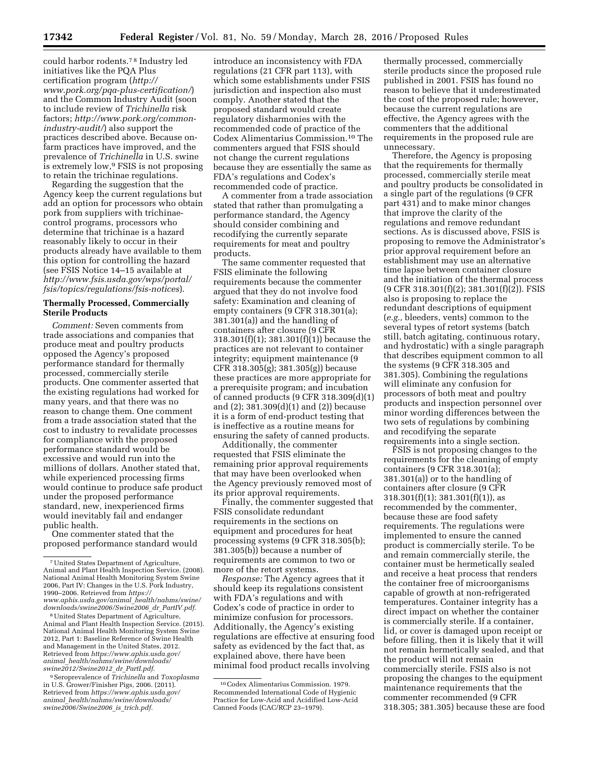could harbor rodents.7 8 Industry led initiatives like the PQA Plus certification program (*[http://](http://www.pork.org/pqa-plus-certification/) [www.pork.org/pqa-plus-certification/](http://www.pork.org/pqa-plus-certification/)*) and the Common Industry Audit (soon to include review of *Trichinella* risk factors; *[http://www.pork.org/common](http://www.pork.org/common-industry-audit/)[industry-audit/](http://www.pork.org/common-industry-audit/)*) also support the practices described above. Because onfarm practices have improved, and the prevalence of *Trichinella* in U.S. swine is extremely low,9 FSIS is not proposing to retain the trichinae regulations.

Regarding the suggestion that the Agency keep the current regulations but add an option for processors who obtain pork from suppliers with trichinaecontrol programs, processors who determine that trichinae is a hazard reasonably likely to occur in their products already have available to them this option for controlling the hazard (see FSIS Notice 14–15 available at *[http://www.fsis.usda.gov/wps/portal/](http://www.fsis.usda.gov/wps/portal/fsis/topics/regulations/fsis-notices) [fsis/topics/regulations/fsis-notices](http://www.fsis.usda.gov/wps/portal/fsis/topics/regulations/fsis-notices)*).

#### **Thermally Processed, Commercially Sterile Products**

*Comment:* Seven comments from trade associations and companies that produce meat and poultry products opposed the Agency's proposed performance standard for thermally processed, commercially sterile products. One commenter asserted that the existing regulations had worked for many years, and that there was no reason to change them. One comment from a trade association stated that the cost to industry to revalidate processes for compliance with the proposed performance standard would be excessive and would run into the millions of dollars. Another stated that, while experienced processing firms would continue to produce safe product under the proposed performance standard, new, inexperienced firms would inevitably fail and endanger public health.

One commenter stated that the proposed performance standard would

<sup>8</sup> United States Department of Agriculture, Animal and Plant Health Inspection Service. (2015). National Animal Health Monitoring System Swine 2012, Part 1: Baseline Reference of Swine Health and Management in the United States, 2012. Retrieved from *[https://www.aphis.usda.gov/](https://www.aphis.usda.gov/animal_health/nahms/swine/downloads/swine2012/Swine2012_dr_PartI.pdf) animal*\_*[health/nahms/swine/downloads/](https://www.aphis.usda.gov/animal_health/nahms/swine/downloads/swine2012/Swine2012_dr_PartI.pdf) [swine2012/Swine2012](https://www.aphis.usda.gov/animal_health/nahms/swine/downloads/swine2012/Swine2012_dr_PartI.pdf)*\_*dr*\_*PartI.pdf*.

9Seroprevalence of *Trichinella* and *Toxoplasma*  in U.S. Grower/Finisher Pigs, 2006. (2011). Retrieved from *[https://www.aphis.usda.gov/](https://www.aphis.usda.gov/animal_health/nahms/swine/downloads/swine2006/Swine2006_is_trich.pdf) animal*\_*[health/nahms/swine/downloads/](https://www.aphis.usda.gov/animal_health/nahms/swine/downloads/swine2006/Swine2006_is_trich.pdf) [swine2006/Swine2006](https://www.aphis.usda.gov/animal_health/nahms/swine/downloads/swine2006/Swine2006_is_trich.pdf)*\_*is*\_*trich.pdf*.

introduce an inconsistency with FDA regulations (21 CFR part 113), with which some establishments under FSIS jurisdiction and inspection also must comply. Another stated that the proposed standard would create regulatory disharmonies with the recommended code of practice of the Codex Alimentarius Commission.10 The commenters argued that FSIS should not change the current regulations because they are essentially the same as FDA's regulations and Codex's recommended code of practice.

A commenter from a trade association stated that rather than promulgating a performance standard, the Agency should consider combining and recodifying the currently separate requirements for meat and poultry products.

The same commenter requested that FSIS eliminate the following requirements because the commenter argued that they do not involve food safety: Examination and cleaning of empty containers (9 CFR 318.301(a); 381.301(a)) and the handling of containers after closure (9 CFR 318.301(f)(1); 381.301(f)(1)) because the practices are not relevant to container integrity; equipment maintenance (9 CFR 318.305(g); 381.305(g)) because these practices are more appropriate for a prerequisite program; and incubation of canned products (9 CFR 318.309(d)(1) and (2); 381.309(d)(1) and (2)) because it is a form of end-product testing that is ineffective as a routine means for ensuring the safety of canned products.

Additionally, the commenter requested that FSIS eliminate the remaining prior approval requirements that may have been overlooked when the Agency previously removed most of its prior approval requirements.

Finally, the commenter suggested that FSIS consolidate redundant requirements in the sections on equipment and procedures for heat processing systems (9 CFR 318.305(b); 381.305(b)) because a number of requirements are common to two or more of the retort systems.

*Response:* The Agency agrees that it should keep its regulations consistent with FDA's regulations and with Codex's code of practice in order to minimize confusion for processors. Additionally, the Agency's existing regulations are effective at ensuring food safety as evidenced by the fact that, as explained above, there have been minimal food product recalls involving

thermally processed, commercially sterile products since the proposed rule published in 2001. FSIS has found no reason to believe that it underestimated the cost of the proposed rule; however, because the current regulations are effective, the Agency agrees with the commenters that the additional requirements in the proposed rule are unnecessary.

Therefore, the Agency is proposing that the requirements for thermally processed, commercially sterile meat and poultry products be consolidated in a single part of the regulations (9 CFR part 431) and to make minor changes that improve the clarity of the regulations and remove redundant sections. As is discussed above, FSIS is proposing to remove the Administrator's prior approval requirement before an establishment may use an alternative time lapse between container closure and the initiation of the thermal process (9 CFR 318.301(f)(2); 381.301(f)(2)). FSIS also is proposing to replace the redundant descriptions of equipment (*e.g.,* bleeders, vents) common to the several types of retort systems (batch still, batch agitating, continuous rotary, and hydrostatic) with a single paragraph that describes equipment common to all the systems (9 CFR 318.305 and 381.305). Combining the regulations will eliminate any confusion for processors of both meat and poultry products and inspection personnel over minor wording differences between the two sets of regulations by combining and recodifying the separate requirements into a single section.

FSIS is not proposing changes to the requirements for the cleaning of empty containers (9 CFR 318.301(a); 381.301(a)) or to the handling of containers after closure (9 CFR  $318.301(f)(1); 381.301(f)(1)),$  as recommended by the commenter, because these are food safety requirements. The regulations were implemented to ensure the canned product is commercially sterile. To be and remain commercially sterile, the container must be hermetically sealed and receive a heat process that renders the container free of microorganisms capable of growth at non-refrigerated temperatures. Container integrity has a direct impact on whether the container is commercially sterile. If a container, lid, or cover is damaged upon receipt or before filling, then it is likely that it will not remain hermetically sealed, and that the product will not remain commercially sterile. FSIS also is not proposing the changes to the equipment maintenance requirements that the commenter recommended (9 CFR 318.305; 381.305) because these are food

<sup>7</sup>United States Department of Agriculture, Animal and Plant Health Inspection Service. (2008). National Animal Health Monitoring System Swine 2006, Part IV: Changes in the U.S. Pork Industry, 1990–2006. Retrieved from *[https://](https://www.aphis.usda.gov/animal_health/nahms/swine/downloads/swine2006/Swine2006_dr_PartIV.pdf) [www.aphis.usda.gov/animal](https://www.aphis.usda.gov/animal_health/nahms/swine/downloads/swine2006/Swine2006_dr_PartIV.pdf)*\_*health/nahms/swine/*

<sup>10</sup>Codex Alimentarius Commission. 1979. Recommended International Code of Hygienic Practice for Low-Acid and Acidified Low-Acid Canned Foods (CAC/RCP 23–1979).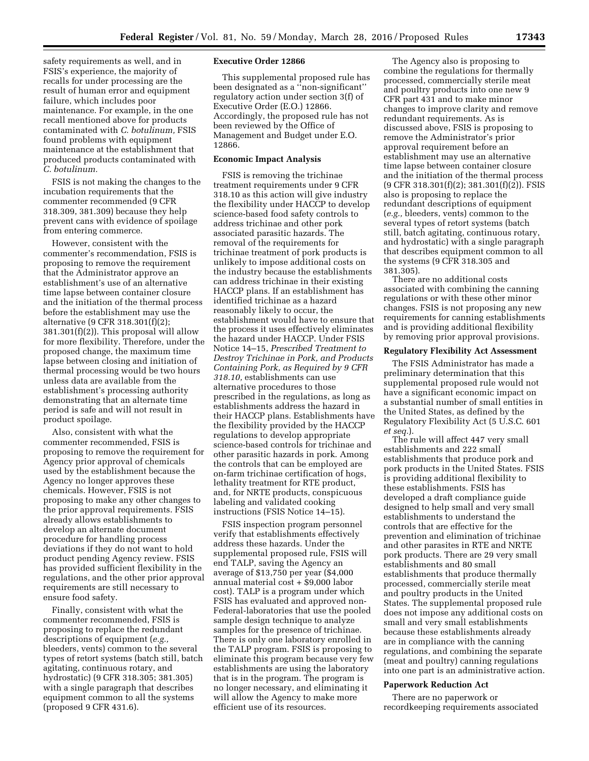safety requirements as well, and in FSIS's experience, the majority of recalls for under processing are the result of human error and equipment failure, which includes poor maintenance. For example, in the one recall mentioned above for products contaminated with *C. botulinum,* FSIS found problems with equipment maintenance at the establishment that produced products contaminated with *C. botulinum.* 

FSIS is not making the changes to the incubation requirements that the commenter recommended (9 CFR 318.309, 381.309) because they help prevent cans with evidence of spoilage from entering commerce.

However, consistent with the commenter's recommendation, FSIS is proposing to remove the requirement that the Administrator approve an establishment's use of an alternative time lapse between container closure and the initiation of the thermal process before the establishment may use the alternative (9 CFR 318.301(f)(2); 381.301(f)(2)). This proposal will allow for more flexibility. Therefore, under the proposed change, the maximum time lapse between closing and initiation of thermal processing would be two hours unless data are available from the establishment's processing authority demonstrating that an alternate time period is safe and will not result in product spoilage.

Also, consistent with what the commenter recommended, FSIS is proposing to remove the requirement for Agency prior approval of chemicals used by the establishment because the Agency no longer approves these chemicals. However, FSIS is not proposing to make any other changes to the prior approval requirements. FSIS already allows establishments to develop an alternate document procedure for handling process deviations if they do not want to hold product pending Agency review. FSIS has provided sufficient flexibility in the regulations, and the other prior approval requirements are still necessary to ensure food safety.

Finally, consistent with what the commenter recommended, FSIS is proposing to replace the redundant descriptions of equipment (*e.g.,*  bleeders, vents) common to the several types of retort systems (batch still, batch agitating, continuous rotary, and hydrostatic) (9 CFR 318.305; 381.305) with a single paragraph that describes equipment common to all the systems (proposed 9 CFR 431.6).

# **Executive Order 12866**

This supplemental proposed rule has been designated as a ''non-significant'' regulatory action under section 3(f) of Executive Order (E.O.) 12866. Accordingly, the proposed rule has not been reviewed by the Office of Management and Budget under E.O. 12866.

# **Economic Impact Analysis**

FSIS is removing the trichinae treatment requirements under 9 CFR 318.10 as this action will give industry the flexibility under HACCP to develop science-based food safety controls to address trichinae and other pork associated parasitic hazards. The removal of the requirements for trichinae treatment of pork products is unlikely to impose additional costs on the industry because the establishments can address trichinae in their existing HACCP plans. If an establishment has identified trichinae as a hazard reasonably likely to occur, the establishment would have to ensure that the process it uses effectively eliminates the hazard under HACCP. Under FSIS Notice 14–15, *Prescribed Treatment to Destroy Trichinae in Pork, and Products Containing Pork, as Required by 9 CFR 318.10,* establishments can use alternative procedures to those prescribed in the regulations, as long as establishments address the hazard in their HACCP plans. Establishments have the flexibility provided by the HACCP regulations to develop appropriate science-based controls for trichinae and other parasitic hazards in pork. Among the controls that can be employed are on-farm trichinae certification of hogs, lethality treatment for RTE product, and, for NRTE products, conspicuous labeling and validated cooking instructions (FSIS Notice 14–15).

FSIS inspection program personnel verify that establishments effectively address these hazards. Under the supplemental proposed rule, FSIS will end TALP, saving the Agency an average of \$13,750 per year (\$4,000 annual material cost + \$9,000 labor cost). TALP is a program under which FSIS has evaluated and approved non-Federal-laboratories that use the pooled sample design technique to analyze samples for the presence of trichinae. There is only one laboratory enrolled in the TALP program. FSIS is proposing to eliminate this program because very few establishments are using the laboratory that is in the program. The program is no longer necessary, and eliminating it will allow the Agency to make more efficient use of its resources.

The Agency also is proposing to combine the regulations for thermally processed, commercially sterile meat and poultry products into one new 9 CFR part 431 and to make minor changes to improve clarity and remove redundant requirements. As is discussed above, FSIS is proposing to remove the Administrator's prior approval requirement before an establishment may use an alternative time lapse between container closure and the initiation of the thermal process (9 CFR 318.301(f)(2); 381.301(f)(2)). FSIS also is proposing to replace the redundant descriptions of equipment (*e.g.,* bleeders, vents) common to the several types of retort systems (batch still, batch agitating, continuous rotary, and hydrostatic) with a single paragraph that describes equipment common to all the systems (9 CFR 318.305 and 381.305).

There are no additional costs associated with combining the canning regulations or with these other minor changes. FSIS is not proposing any new requirements for canning establishments and is providing additional flexibility by removing prior approval provisions.

#### **Regulatory Flexibility Act Assessment**

The FSIS Administrator has made a preliminary determination that this supplemental proposed rule would not have a significant economic impact on a substantial number of small entities in the United States, as defined by the Regulatory Flexibility Act (5 U.S.C. 601 *et seq.*).

The rule will affect 447 very small establishments and 222 small establishments that produce pork and pork products in the United States. FSIS is providing additional flexibility to these establishments. FSIS has developed a draft compliance guide designed to help small and very small establishments to understand the controls that are effective for the prevention and elimination of trichinae and other parasites in RTE and NRTE pork products. There are 29 very small establishments and 80 small establishments that produce thermally processed, commercially sterile meat and poultry products in the United States. The supplemental proposed rule does not impose any additional costs on small and very small establishments because these establishments already are in compliance with the canning regulations, and combining the separate (meat and poultry) canning regulations into one part is an administrative action.

# **Paperwork Reduction Act**

There are no paperwork or recordkeeping requirements associated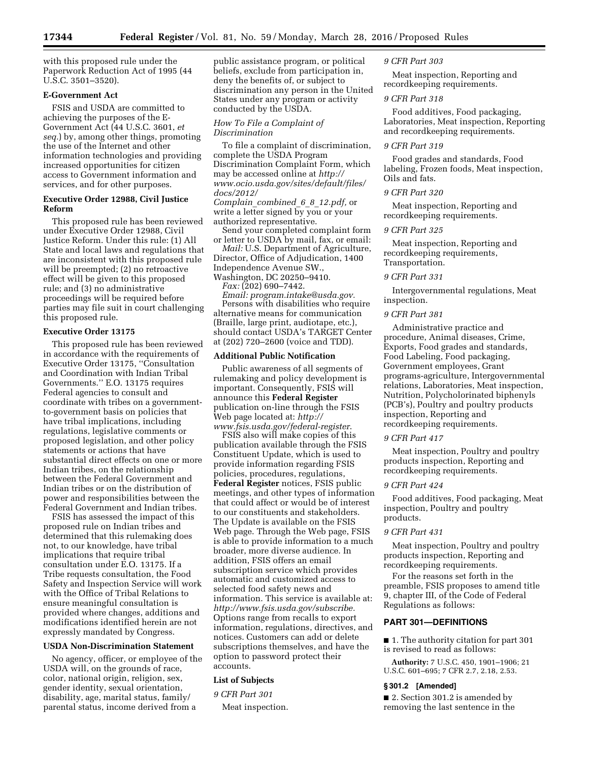with this proposed rule under the Paperwork Reduction Act of 1995 (44 U.S.C. 3501–3520).

# **E-Government Act**

FSIS and USDA are committed to achieving the purposes of the E-Government Act (44 U.S.C. 3601, *et seq.*) by, among other things, promoting the use of the Internet and other information technologies and providing increased opportunities for citizen access to Government information and services, and for other purposes.

# **Executive Order 12988, Civil Justice Reform**

This proposed rule has been reviewed under Executive Order 12988, Civil Justice Reform. Under this rule: (1) All State and local laws and regulations that are inconsistent with this proposed rule will be preempted; (2) no retroactive effect will be given to this proposed rule; and (3) no administrative proceedings will be required before parties may file suit in court challenging this proposed rule.

# **Executive Order 13175**

This proposed rule has been reviewed in accordance with the requirements of Executive Order 13175, ''Consultation and Coordination with Indian Tribal Governments.'' E.O. 13175 requires Federal agencies to consult and coordinate with tribes on a governmentto-government basis on policies that have tribal implications, including regulations, legislative comments or proposed legislation, and other policy statements or actions that have substantial direct effects on one or more Indian tribes, on the relationship between the Federal Government and Indian tribes or on the distribution of power and responsibilities between the Federal Government and Indian tribes.

FSIS has assessed the impact of this proposed rule on Indian tribes and determined that this rulemaking does not, to our knowledge, have tribal implications that require tribal consultation under E.O. 13175. If a Tribe requests consultation, the Food Safety and Inspection Service will work with the Office of Tribal Relations to ensure meaningful consultation is provided where changes, additions and modifications identified herein are not expressly mandated by Congress.

# **USDA Non-Discrimination Statement**

No agency, officer, or employee of the USDA will, on the grounds of race, color, national origin, religion, sex, gender identity, sexual orientation, disability, age, marital status, family/ parental status, income derived from a

public assistance program, or political beliefs, exclude from participation in, deny the benefits of, or subject to discrimination any person in the United States under any program or activity conducted by the USDA.

# *How To File a Complaint of Discrimination*

To file a complaint of discrimination, complete the USDA Program Discrimination Complaint Form, which may be accessed online at *[http://](http://www.ocio.usda.gov/sites/default/files/docs/2012/Complain_combined_6_8_12.pdf)  [www.ocio.usda.gov/sites/default/files/](http://www.ocio.usda.gov/sites/default/files/docs/2012/Complain_combined_6_8_12.pdf) [docs/2012/](http://www.ocio.usda.gov/sites/default/files/docs/2012/Complain_combined_6_8_12.pdf) Complain*\_*[combined](http://www.ocio.usda.gov/sites/default/files/docs/2012/Complain_combined_6_8_12.pdf)*\_*6*\_*8*\_*12.pdf,* or write a letter signed by you or your

authorized representative. Send your completed complaint form or letter to USDA by mail, fax, or email:

*Mail:* U.S. Department of Agriculture, Director, Office of Adjudication, 1400 Independence Avenue SW.,

Washington, DC 20250–9410. *Fax:* (202) 690–7442.

*Email: [program.intake@usda.gov.](mailto:program.intake@usda.gov)*  Persons with disabilities who require alternative means for communication (Braille, large print, audiotape, etc.), should contact USDA's TARGET Center at (202) 720–2600 (voice and TDD).

#### **Additional Public Notification**

Public awareness of all segments of rulemaking and policy development is important. Consequently, FSIS will announce this **Federal Register**  publication on-line through the FSIS Web page located at: *[http://](http://www.fsis.usda.gov/federal-register)  [www.fsis.usda.gov/federal-register](http://www.fsis.usda.gov/federal-register)*.

FSIS also will make copies of this publication available through the FSIS Constituent Update, which is used to provide information regarding FSIS policies, procedures, regulations, **Federal Register** notices, FSIS public meetings, and other types of information that could affect or would be of interest to our constituents and stakeholders. The Update is available on the FSIS Web page. Through the Web page, FSIS is able to provide information to a much broader, more diverse audience. In addition, FSIS offers an email subscription service which provides automatic and customized access to selected food safety news and information. This service is available at: *[http://www.fsis.usda.gov/subscribe.](http://www.fsis.usda.gov/subscribe)*  Options range from recalls to export information, regulations, directives, and notices. Customers can add or delete subscriptions themselves, and have the option to password protect their accounts.

# **List of Subjects**

# *9 CFR Part 301*

Meat inspection.

#### *9 CFR Part 303*

Meat inspection, Reporting and recordkeeping requirements.

# *9 CFR Part 318*

Food additives, Food packaging, Laboratories, Meat inspection, Reporting and recordkeeping requirements.

#### *9 CFR Part 319*

Food grades and standards, Food labeling, Frozen foods, Meat inspection, Oils and fats.

#### *9 CFR Part 320*

Meat inspection, Reporting and recordkeeping requirements.

#### *9 CFR Part 325*

Meat inspection, Reporting and recordkeeping requirements, Transportation.

#### *9 CFR Part 331*

Intergovernmental regulations, Meat inspection.

# *9 CFR Part 381*

Administrative practice and procedure, Animal diseases, Crime, Exports, Food grades and standards, Food Labeling, Food packaging, Government employees, Grant programs-agriculture, Intergovernmental relations, Laboratories, Meat inspection, Nutrition, Polycholorinated biphenyls (PCB's), Poultry and poultry products inspection, Reporting and recordkeeping requirements.

#### *9 CFR Part 417*

Meat inspection, Poultry and poultry products inspection, Reporting and recordkeeping requirements.

# *9 CFR Part 424*

Food additives, Food packaging, Meat inspection, Poultry and poultry products.

# *9 CFR Part 431*

Meat inspection, Poultry and poultry products inspection, Reporting and recordkeeping requirements.

For the reasons set forth in the preamble, FSIS proposes to amend title 9, chapter III, of the Code of Federal Regulations as follows:

# **PART 301—DEFINITIONS**

■ 1. The authority citation for part 301 is revised to read as follows:

**Authority:** 7 U.S.C. 450, 1901–1906; 21 U.S.C. 601–695; 7 CFR 2.7, 2.18, 2.53.

#### **§ 301.2 [Amended]**

■ 2. Section 301.2 is amended by removing the last sentence in the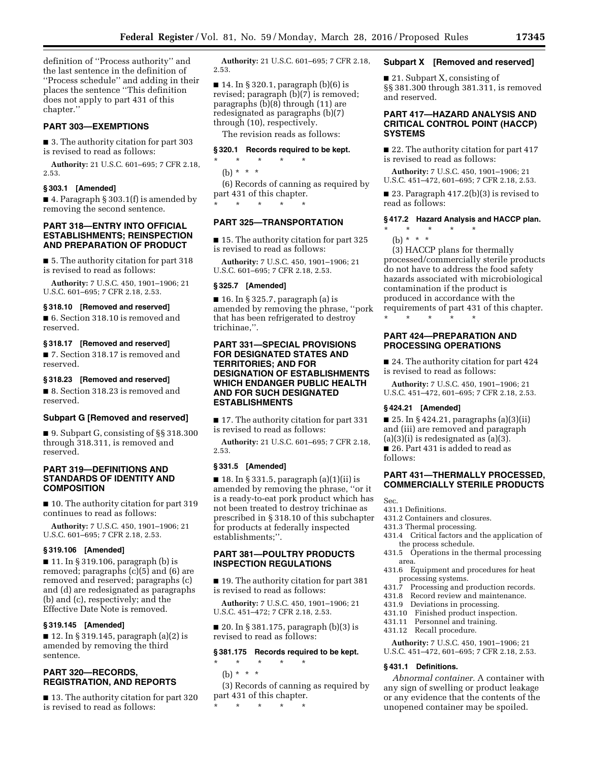definition of ''Process authority'' and the last sentence in the definition of ''Process schedule'' and adding in their places the sentence ''This definition does not apply to part 431 of this chapter.''

# **PART 303—EXEMPTIONS**

■ 3. The authority citation for part 303 is revised to read as follows:

**Authority:** 21 U.S.C. 601–695; 7 CFR 2.18, 2.53.

# **§ 303.1 [Amended]**

■ 4. Paragraph § 303.1(f) is amended by removing the second sentence.

# **PART 318—ENTRY INTO OFFICIAL ESTABLISHMENTS; REINSPECTION AND PREPARATION OF PRODUCT**

■ 5. The authority citation for part 318 is revised to read as follows:

**Authority:** 7 U.S.C. 450, 1901–1906; 21 U.S.C. 601–695; 7 CFR 2.18, 2.53.

#### **§ 318.10 [Removed and reserved]**

■ 6. Section 318.10 is removed and reserved.

# **§ 318.17 [Removed and reserved]**

■ 7. Section 318.17 is removed and reserved.

# **§ 318.23 [Removed and reserved]**

■ 8. Section 318.23 is removed and reserved.

#### **Subpart G [Removed and reserved]**

■ 9. Subpart G, consisting of §§ 318.300 through 318.311, is removed and reserved.

# **PART 319—DEFINITIONS AND STANDARDS OF IDENTITY AND COMPOSITION**

■ 10. The authority citation for part 319 continues to read as follows:

**Authority:** 7 U.S.C. 450, 1901–1906; 21 U.S.C. 601–695; 7 CFR 2.18, 2.53.

#### **§ 319.106 [Amended]**

■ 11. In § 319.106, paragraph (b) is removed; paragraphs (c)(5) and (6) are removed and reserved; paragraphs (c) and (d) are redesignated as paragraphs (b) and (c), respectively; and the Effective Date Note is removed.

# **§ 319.145 [Amended]**

■ 12. In § 319.145, paragraph (a)(2) is amended by removing the third sentence.

# **PART 320—RECORDS, REGISTRATION, AND REPORTS**

■ 13. The authority citation for part 320 is revised to read as follows:

**Authority:** 21 U.S.C. 601–695; 7 CFR 2.18, 2.53.

■ 14. In § 320.1, paragraph (b)(6) is revised; paragraph (b)(7) is removed; paragraphs (b)(8) through (11) are redesignated as paragraphs (b)(7) through (10), respectively.

The revision reads as follows:

# **§ 320.1 Records required to be kept.**

- \* \* \* \* \*
- (b) \* \* \*

(6) Records of canning as required by part 431 of this chapter. \* \* \* \* \*

# **PART 325—TRANSPORTATION**

■ 15. The authority citation for part 325 is revised to read as follows:

**Authority:** 7 U.S.C. 450, 1901–1906; 21 U.S.C. 601–695; 7 CFR 2.18, 2.53.

## **§ 325.7 [Amended]**

 $\blacksquare$  16. In § 325.7, paragraph (a) is amended by removing the phrase, ''pork that has been refrigerated to destroy trichinae,''.

# **PART 331—SPECIAL PROVISIONS FOR DESIGNATED STATES AND TERRITORIES; AND FOR DESIGNATION OF ESTABLISHMENTS WHICH ENDANGER PUBLIC HEALTH AND FOR SUCH DESIGNATED ESTABLISHMENTS**

■ 17. The authority citation for part 331 is revised to read as follows:

**Authority:** 21 U.S.C. 601–695; 7 CFR 2.18, 2.53.

#### **§ 331.5 [Amended]**

 $\blacksquare$  18. In § 331.5, paragraph (a)(1)(ii) is amended by removing the phrase, ''or it is a ready-to-eat pork product which has not been treated to destroy trichinae as prescribed in § 318.10 of this subchapter for products at federally inspected establishments;''.

# **PART 381—POULTRY PRODUCTS INSPECTION REGULATIONS**

■ 19. The authority citation for part 381 is revised to read as follows:

**Authority:** 7 U.S.C. 450, 1901–1906; 21 U.S.C. 451–472; 7 CFR 2.18, 2.53.

■ 20. In § 381.175, paragraph (b)(3) is revised to read as follows:

#### **§ 381.175 Records required to be kept.**

\* \* \* \* \* (b) \* \* \*

(3) Records of canning as required by part 431 of this chapter.

#### \* \* \* \* \*

# **Subpart X [Removed and reserved]**

■ 21. Subpart X, consisting of §§ 381.300 through 381.311, is removed and reserved.

# **PART 417—HAZARD ANALYSIS AND CRITICAL CONTROL POINT (HACCP) SYSTEMS**

■ 22. The authority citation for part 417 is revised to read as follows:

**Authority:** 7 U.S.C. 450, 1901–1906; 21 U.S.C. 451–472, 601–695; 7 CFR 2.18, 2.53.

■ 23. Paragraph 417.2(b)(3) is revised to read as follows:

# **§ 417.2 Hazard Analysis and HACCP plan.**

- \* \* \* \* \*
	- (b) \* \* \*

(3) HACCP plans for thermally processed/commercially sterile products do not have to address the food safety hazards associated with microbiological contamination if the product is produced in accordance with the requirements of part 431 of this chapter. \* \* \* \* \*

# **PART 424—PREPARATION AND PROCESSING OPERATIONS**

■ 24. The authority citation for part 424 is revised to read as follows:

**Authority:** 7 U.S.C. 450, 1901–1906; 21 U.S.C. 451–472, 601–695; 7 CFR 2.18, 2.53.

# **§ 424.21 [Amended]**

 $\blacksquare$  25. In § 424.21, paragraphs (a)(3)(ii) and (iii) are removed and paragraph

 $(a)(3)(i)$  is redesignated as  $(a)(3)$ .

■ 26. Part 431 is added to read as follows:

# **PART 431—THERMALLY PROCESSED, COMMERCIALLY STERILE PRODUCTS**

- Sec.
- 431.1 Definitions.
- 431.2 Containers and closures.
- 431.3 Thermal processing.
- 431.4 Critical factors and the application of the process schedule.
- 431.5 Operations in the thermal processing area.
- 431.6 Equipment and procedures for heat processing systems.
- 431.7 Processing and production records.
- 431.8 Record review and maintenance.
- 431.9 Deviations in processing.
- 431.10 Finished product inspection.
- 431.11 Personnel and training.
- 431.12 Recall procedure.

**Authority:** 7 U.S.C. 450, 1901–1906; 21 U.S.C. 451–472, 601–695; 7 CFR 2.18, 2.53.

#### **§ 431.1 Definitions.**

*Abnormal container.* A container with any sign of swelling or product leakage or any evidence that the contents of the unopened container may be spoiled.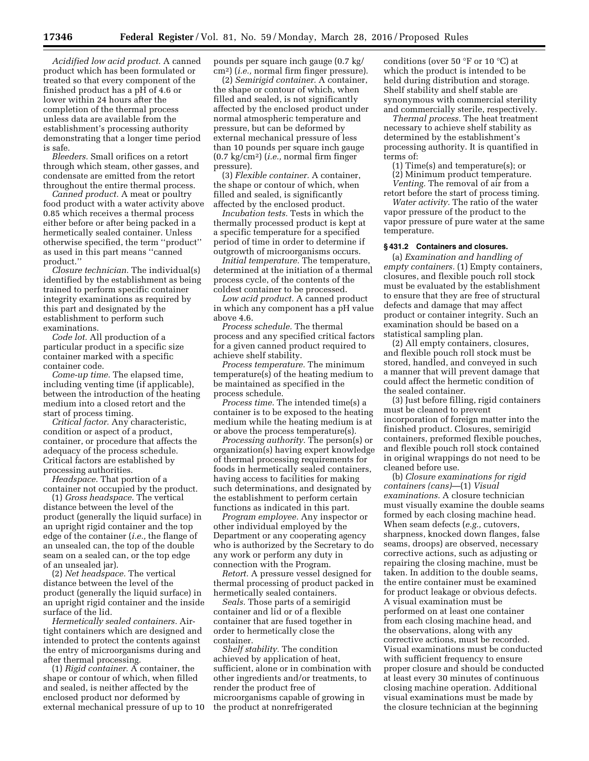*Acidified low acid product.* A canned product which has been formulated or treated so that every component of the finished product has a pH of 4.6 or lower within 24 hours after the completion of the thermal process unless data are available from the establishment's processing authority demonstrating that a longer time period is safe.

*Bleeders.* Small orifices on a retort through which steam, other gasses, and condensate are emitted from the retort throughout the entire thermal process.

*Canned product.* A meat or poultry food product with a water activity above 0.85 which receives a thermal process either before or after being packed in a hermetically sealed container. Unless otherwise specified, the term ''product'' as used in this part means ''canned product.''

*Closure technician.* The individual(s) identified by the establishment as being trained to perform specific container integrity examinations as required by this part and designated by the establishment to perform such examinations.

*Code lot.* All production of a particular product in a specific size container marked with a specific container code.

*Come-up time.* The elapsed time, including venting time (if applicable), between the introduction of the heating medium into a closed retort and the start of process timing.

*Critical factor.* Any characteristic, condition or aspect of a product, container, or procedure that affects the adequacy of the process schedule. Critical factors are established by processing authorities.

*Headspace.* That portion of a container not occupied by the product.

(1) *Gross headspace.* The vertical distance between the level of the product (generally the liquid surface) in an upright rigid container and the top edge of the container (*i.e.,* the flange of an unsealed can, the top of the double seam on a sealed can, or the top edge of an unsealed jar).

(2) *Net headspace.* The vertical distance between the level of the product (generally the liquid surface) in an upright rigid container and the inside surface of the lid.

*Hermetically sealed containers.* Airtight containers which are designed and intended to protect the contents against the entry of microorganisms during and after thermal processing.

(1) *Rigid container.* A container, the shape or contour of which, when filled and sealed, is neither affected by the enclosed product nor deformed by external mechanical pressure of up to 10 pounds per square inch gauge (0.7 kg/ cm2) (*i.e.,* normal firm finger pressure).

(2) *Semirigid container.* A container, the shape or contour of which, when filled and sealed, is not significantly affected by the enclosed product under normal atmospheric temperature and pressure, but can be deformed by external mechanical pressure of less than 10 pounds per square inch gauge (0.7 kg/cm2) (*i.e.,* normal firm finger pressure).

(3) *Flexible container.* A container, the shape or contour of which, when filled and sealed, is significantly affected by the enclosed product.

*Incubation tests.* Tests in which the thermally processed product is kept at a specific temperature for a specified period of time in order to determine if outgrowth of microorganisms occurs.

*Initial temperature.* The temperature, determined at the initiation of a thermal process cycle, of the contents of the coldest container to be processed.

*Low acid product.* A canned product in which any component has a pH value above 4.6.

*Process schedule.* The thermal process and any specified critical factors for a given canned product required to achieve shelf stability.

*Process temperature.* The minimum temperature(s) of the heating medium to be maintained as specified in the process schedule.

*Process time.* The intended time(s) a container is to be exposed to the heating medium while the heating medium is at or above the process temperature(s).

*Processing authority.* The person(s) or organization(s) having expert knowledge of thermal processing requirements for foods in hermetically sealed containers, having access to facilities for making such determinations, and designated by the establishment to perform certain functions as indicated in this part.

*Program employee.* Any inspector or other individual employed by the Department or any cooperating agency who is authorized by the Secretary to do any work or perform any duty in connection with the Program.

*Retort.* A pressure vessel designed for thermal processing of product packed in hermetically sealed containers.

*Seals.* Those parts of a semirigid container and lid or of a flexible container that are fused together in order to hermetically close the container.

*Shelf stability.* The condition achieved by application of heat, sufficient, alone or in combination with other ingredients and/or treatments, to render the product free of microorganisms capable of growing in the product at nonrefrigerated

conditions (over 50 °F or 10 °C) at which the product is intended to be held during distribution and storage. Shelf stability and shelf stable are synonymous with commercial sterility and commercially sterile, respectively.

*Thermal process.* The heat treatment necessary to achieve shelf stability as determined by the establishment's processing authority. It is quantified in terms of:

(1) Time(s) and temperature(s); or (2) Minimum product temperature.

*Venting.* The removal of air from a retort before the start of process timing.

*Water activity.* The ratio of the water vapor pressure of the product to the vapor pressure of pure water at the same temperature.

# **§ 431.2 Containers and closures.**

(a) *Examination and handling of empty containers.* (1) Empty containers, closures, and flexible pouch roll stock must be evaluated by the establishment to ensure that they are free of structural defects and damage that may affect product or container integrity. Such an examination should be based on a statistical sampling plan.

(2) All empty containers, closures, and flexible pouch roll stock must be stored, handled, and conveyed in such a manner that will prevent damage that could affect the hermetic condition of the sealed container.

(3) Just before filling, rigid containers must be cleaned to prevent incorporation of foreign matter into the finished product. Closures, semirigid containers, preformed flexible pouches, and flexible pouch roll stock contained in original wrappings do not need to be cleaned before use.

(b) *Closure examinations for rigid containers (cans)*—(1) *Visual examinations.* A closure technician must visually examine the double seams formed by each closing machine head. When seam defects (*e.g.,* cutovers, sharpness, knocked down flanges, false seams, droops) are observed, necessary corrective actions, such as adjusting or repairing the closing machine, must be taken. In addition to the double seams, the entire container must be examined for product leakage or obvious defects. A visual examination must be performed on at least one container from each closing machine head, and the observations, along with any corrective actions, must be recorded. Visual examinations must be conducted with sufficient frequency to ensure proper closure and should be conducted at least every 30 minutes of continuous closing machine operation. Additional visual examinations must be made by the closure technician at the beginning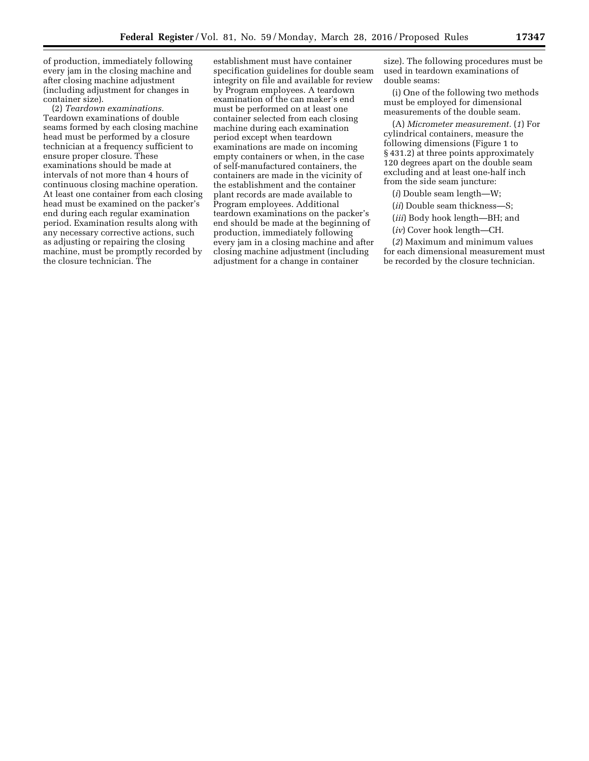of production, immediately following every jam in the closing machine and after closing machine adjustment (including adjustment for changes in container size).

(2) *Teardown examinations.*  Teardown examinations of double seams formed by each closing machine head must be performed by a closure technician at a frequency sufficient to ensure proper closure. These examinations should be made at intervals of not more than 4 hours of continuous closing machine operation. At least one container from each closing head must be examined on the packer's end during each regular examination period. Examination results along with any necessary corrective actions, such as adjusting or repairing the closing machine, must be promptly recorded by the closure technician. The

establishment must have container specification guidelines for double seam integrity on file and available for review by Program employees. A teardown examination of the can maker's end must be performed on at least one container selected from each closing machine during each examination period except when teardown examinations are made on incoming empty containers or when, in the case of self-manufactured containers, the containers are made in the vicinity of the establishment and the container plant records are made available to Program employees. Additional teardown examinations on the packer's end should be made at the beginning of production, immediately following every jam in a closing machine and after closing machine adjustment (including adjustment for a change in container

size). The following procedures must be used in teardown examinations of double seams:

(i) One of the following two methods must be employed for dimensional measurements of the double seam.

(A) *Micrometer measurement.* (*1*) For cylindrical containers, measure the following dimensions (Figure 1 to § 431.2) at three points approximately 120 degrees apart on the double seam excluding and at least one-half inch from the side seam juncture:

(*i*) Double seam length—W;

(*ii*) Double seam thickness—S;

(*iii*) Body hook length—BH; and

(*iv*) Cover hook length—CH.

(*2*) Maximum and minimum values for each dimensional measurement must be recorded by the closure technician.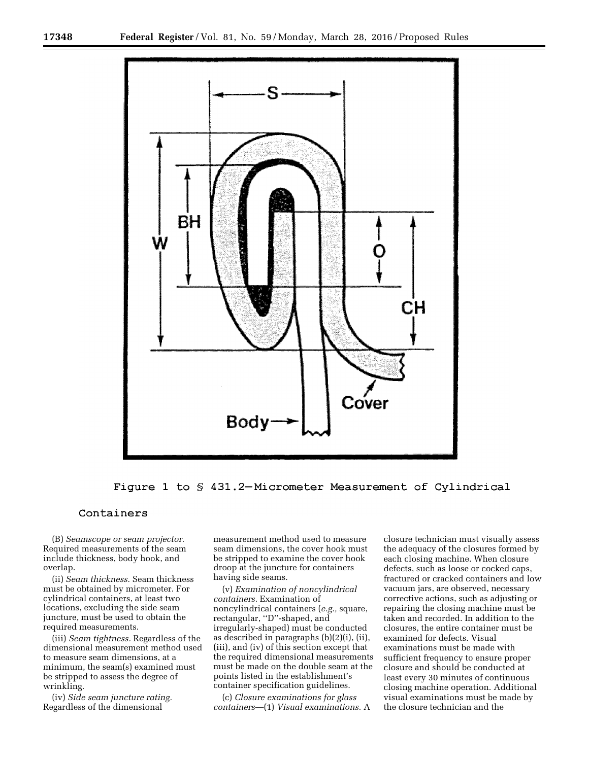

Figure 1 to \$431.2-Micrometer Measurement of Cylindrical

# Containers

(B) *Seamscope or seam projector.*  Required measurements of the seam include thickness, body hook, and overlap.

(ii) *Seam thickness.* Seam thickness must be obtained by micrometer. For cylindrical containers, at least two locations, excluding the side seam juncture, must be used to obtain the required measurements.

(iii) *Seam tightness.* Regardless of the dimensional measurement method used to measure seam dimensions, at a minimum, the seam(s) examined must be stripped to assess the degree of wrinkling.

(iv) *Side seam juncture rating.*  Regardless of the dimensional

measurement method used to measure seam dimensions, the cover hook must be stripped to examine the cover hook droop at the juncture for containers having side seams.

(v) *Examination of noncylindrical containers.* Examination of noncylindrical containers (*e.g.,* square, rectangular, ''D''-shaped, and irregularly-shaped) must be conducted as described in paragraphs (b)(2)(i), (ii), (iii), and (iv) of this section except that the required dimensional measurements must be made on the double seam at the points listed in the establishment's container specification guidelines.

(c) *Closure examinations for glass containers*—(1) *Visual examinations.* A

closure technician must visually assess the adequacy of the closures formed by each closing machine. When closure defects, such as loose or cocked caps, fractured or cracked containers and low vacuum jars, are observed, necessary corrective actions, such as adjusting or repairing the closing machine must be taken and recorded. In addition to the closures, the entire container must be examined for defects. Visual examinations must be made with sufficient frequency to ensure proper closure and should be conducted at least every 30 minutes of continuous closing machine operation. Additional visual examinations must be made by the closure technician and the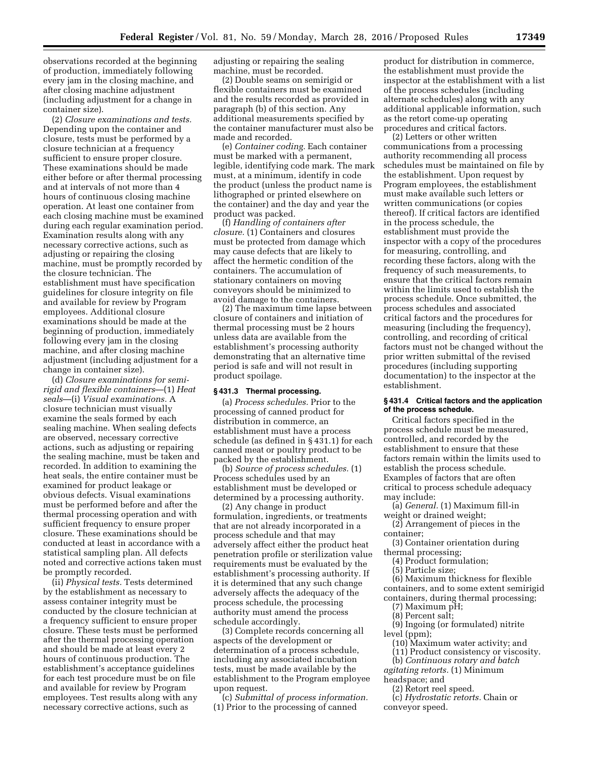observations recorded at the beginning of production, immediately following every jam in the closing machine, and after closing machine adjustment (including adjustment for a change in container size).

(2) *Closure examinations and tests.*  Depending upon the container and closure, tests must be performed by a closure technician at a frequency sufficient to ensure proper closure. These examinations should be made either before or after thermal processing and at intervals of not more than 4 hours of continuous closing machine operation. At least one container from each closing machine must be examined during each regular examination period. Examination results along with any necessary corrective actions, such as adjusting or repairing the closing machine, must be promptly recorded by the closure technician. The establishment must have specification guidelines for closure integrity on file and available for review by Program employees. Additional closure examinations should be made at the beginning of production, immediately following every jam in the closing machine, and after closing machine adjustment (including adjustment for a change in container size).

(d) *Closure examinations for semirigid and flexible containers*—(1) *Heat seals*—(i) *Visual examinations.* A closure technician must visually examine the seals formed by each sealing machine. When sealing defects are observed, necessary corrective actions, such as adjusting or repairing the sealing machine, must be taken and recorded. In addition to examining the heat seals, the entire container must be examined for product leakage or obvious defects. Visual examinations must be performed before and after the thermal processing operation and with sufficient frequency to ensure proper closure. These examinations should be conducted at least in accordance with a statistical sampling plan. All defects noted and corrective actions taken must be promptly recorded.

(ii) *Physical tests.* Tests determined by the establishment as necessary to assess container integrity must be conducted by the closure technician at a frequency sufficient to ensure proper closure. These tests must be performed after the thermal processing operation and should be made at least every 2 hours of continuous production. The establishment's acceptance guidelines for each test procedure must be on file and available for review by Program employees. Test results along with any necessary corrective actions, such as

adjusting or repairing the sealing machine, must be recorded.

(2) Double seams on semirigid or flexible containers must be examined and the results recorded as provided in paragraph (b) of this section. Any additional measurements specified by the container manufacturer must also be made and recorded.

(e) *Container coding.* Each container must be marked with a permanent, legible, identifying code mark. The mark must, at a minimum, identify in code the product (unless the product name is lithographed or printed elsewhere on the container) and the day and year the product was packed.

(f) *Handling of containers after closure.* (1) Containers and closures must be protected from damage which may cause defects that are likely to affect the hermetic condition of the containers. The accumulation of stationary containers on moving conveyors should be minimized to avoid damage to the containers.

(2) The maximum time lapse between closure of containers and initiation of thermal processing must be 2 hours unless data are available from the establishment's processing authority demonstrating that an alternative time period is safe and will not result in product spoilage.

#### **§ 431.3 Thermal processing.**

(a) *Process schedules.* Prior to the processing of canned product for distribution in commerce, an establishment must have a process schedule (as defined in § 431.1) for each canned meat or poultry product to be packed by the establishment.

(b) *Source of process schedules.* (1) Process schedules used by an establishment must be developed or determined by a processing authority.

(2) Any change in product formulation, ingredients, or treatments that are not already incorporated in a process schedule and that may adversely affect either the product heat penetration profile or sterilization value requirements must be evaluated by the establishment's processing authority. If it is determined that any such change adversely affects the adequacy of the process schedule, the processing authority must amend the process schedule accordingly.

(3) Complete records concerning all aspects of the development or determination of a process schedule, including any associated incubation tests, must be made available by the establishment to the Program employee upon request.

(c) *Submittal of process information.*  (1) Prior to the processing of canned

product for distribution in commerce, the establishment must provide the inspector at the establishment with a list of the process schedules (including alternate schedules) along with any additional applicable information, such as the retort come-up operating procedures and critical factors.

(2) Letters or other written communications from a processing authority recommending all process schedules must be maintained on file by the establishment. Upon request by Program employees, the establishment must make available such letters or written communications (or copies thereof). If critical factors are identified in the process schedule, the establishment must provide the inspector with a copy of the procedures for measuring, controlling, and recording these factors, along with the frequency of such measurements, to ensure that the critical factors remain within the limits used to establish the process schedule. Once submitted, the process schedules and associated critical factors and the procedures for measuring (including the frequency), controlling, and recording of critical factors must not be changed without the prior written submittal of the revised procedures (including supporting documentation) to the inspector at the establishment.

# **§ 431.4 Critical factors and the application of the process schedule.**

Critical factors specified in the process schedule must be measured, controlled, and recorded by the establishment to ensure that these factors remain within the limits used to establish the process schedule. Examples of factors that are often critical to process schedule adequacy may include:

(a) *General.* (1) Maximum fill-in weight or drained weight;

- (2) Arrangement of pieces in the container;
- (3) Container orientation during thermal processing;
- (4) Product formulation;
- (5) Particle size;

(6) Maximum thickness for flexible containers, and to some extent semirigid containers, during thermal processing;

- (7) Maximum pH;
- (8) Percent salt;
- (9) Ingoing (or formulated) nitrite level (ppm);
- (10) Maximum water activity; and
- (11) Product consistency or viscosity.
- (b) *Continuous rotary and batch*
- *agitating retorts.* (1) Minimum
- headspace; and
	- (2) Retort reel speed.
- (c) *Hydrostatic retorts.* Chain or conveyor speed.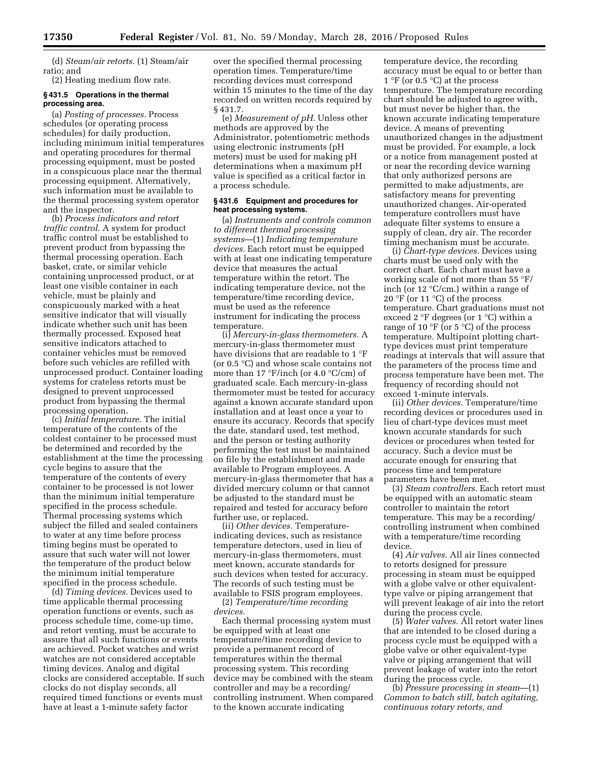(d) *Steam/air retorts.* (1) Steam/air ratio; and

(2) Heating medium flow rate.

#### **§ 431.5 Operations in the thermal processing area.**

(a) *Posting of processes.* Process schedules (or operating process schedules) for daily production, including minimum initial temperatures and operating procedures for thermal processing equipment, must be posted in a conspicuous place near the thermal processing equipment. Alternatively, such information must be available to the thermal processing system operator and the inspector.

(b) *Process indicators and retort traffic control.* A system for product traffic control must be established to prevent product from bypassing the thermal processing operation. Each basket, crate, or similar vehicle containing unprocessed product, or at least one visible container in each vehicle, must be plainly and conspicuously marked with a heat sensitive indicator that will visually indicate whether such unit has been thermally processed. Exposed heat sensitive indicators attached to container vehicles must be removed before such vehicles are refilled with unprocessed product. Container loading systems for crateless retorts must be designed to prevent unprocessed product from bypassing the thermal processing operation.

(c) *Initial temperature.* The initial temperature of the contents of the coldest container to be processed must be determined and recorded by the establishment at the time the processing cycle begins to assure that the temperature of the contents of every container to be processed is not lower than the minimum initial temperature specified in the process schedule. Thermal processing systems which subject the filled and sealed containers to water at any time before process timing begins must be operated to assure that such water will not lower the temperature of the product below the minimum initial temperature specified in the process schedule.

(d) *Timing devices.* Devices used to time applicable thermal processing operation functions or events, such as process schedule time, come-up time, and retort venting, must be accurate to assure that all such functions or events are achieved. Pocket watches and wrist watches are not considered acceptable timing devices. Analog and digital clocks are considered acceptable. If such clocks do not display seconds, all required timed functions or events must have at least a 1-minute safety factor

over the specified thermal processing operation times. Temperature/time recording devices must correspond within 15 minutes to the time of the day recorded on written records required by § 431.7.

(e) *Measurement of pH.* Unless other methods are approved by the Administrator, potentiometric methods using electronic instruments (pH meters) must be used for making pH determinations when a maximum pH value is specified as a critical factor in a process schedule.

# **§ 431.6 Equipment and procedures for heat processing systems.**

(a) *Instruments and controls common to different thermal processing systems*—(1) *Indicating temperature devices.* Each retort must be equipped with at least one indicating temperature device that measures the actual temperature within the retort. The indicating temperature device, not the temperature/time recording device, must be used as the reference instrument for indicating the process temperature.

(i) *Mercury-in-glass thermometers.* A mercury-in-glass thermometer must have divisions that are readable to 1 °F (or 0.5 °C) and whose scale contains not more than 17  $\degree$ F/inch (or 4.0  $\degree$ C/cm) of graduated scale. Each mercury-in-glass thermometer must be tested for accuracy against a known accurate standard upon installation and at least once a year to ensure its accuracy. Records that specify the date, standard used, test method, and the person or testing authority performing the test must be maintained on file by the establishment and made available to Program employees. A mercury-in-glass thermometer that has a divided mercury column or that cannot be adjusted to the standard must be repaired and tested for accuracy before further use, or replaced.

(ii) *Other devices.* Temperatureindicating devices, such as resistance temperature detectors, used in lieu of mercury-in-glass thermometers, must meet known, accurate standards for such devices when tested for accuracy. The records of such testing must be available to FSIS program employees.

(2) *Temperature/time recording devices.* 

Each thermal processing system must be equipped with at least one temperature/time recording device to provide a permanent record of temperatures within the thermal processing system. This recording device may be combined with the steam controller and may be a recording/ controlling instrument. When compared to the known accurate indicating

temperature device, the recording accuracy must be equal to or better than 1 °F (or 0.5 °C) at the process temperature. The temperature recording chart should be adjusted to agree with, but must never be higher than, the known accurate indicating temperature device. A means of preventing unauthorized changes in the adjustment must be provided. For example, a lock or a notice from management posted at or near the recording device warning that only authorized persons are permitted to make adjustments, are satisfactory means for preventing unauthorized changes. Air-operated temperature controllers must have adequate filter systems to ensure a supply of clean, dry air. The recorder timing mechanism must be accurate.

(i) *Chart-type devices.* Devices using charts must be used only with the correct chart. Each chart must have a working scale of not more than 55 °F/ inch (or 12 °C/cm.) within a range of 20 °F (or 11 °C) of the process temperature. Chart graduations must not exceed 2 °F degrees (or 1 °C) within a range of 10  $\mathrm{P}$  (or 5  $\mathrm{C}$ ) of the process temperature. Multipoint plotting charttype devices must print temperature readings at intervals that will assure that the parameters of the process time and process temperature have been met. The frequency of recording should not exceed 1-minute intervals.

(ii) *Other devices.* Temperature/time recording devices or procedures used in lieu of chart-type devices must meet known accurate standards for such devices or procedures when tested for accuracy. Such a device must be accurate enough for ensuring that process time and temperature parameters have been met.

(3) *Steam controllers.* Each retort must be equipped with an automatic steam controller to maintain the retort temperature. This may be a recording/ controlling instrument when combined with a temperature/time recording device.

(4) *Air valves.* All air lines connected to retorts designed for pressure processing in steam must be equipped with a globe valve or other equivalenttype valve or piping arrangement that will prevent leakage of air into the retort during the process cycle.

(5) *Water valves.* All retort water lines that are intended to be closed during a process cycle must be equipped with a globe valve or other equivalent-type valve or piping arrangement that will prevent leakage of water into the retort during the process cycle.

(b) *Pressure processing in steam*—(1) *Common to batch still, batch agitating, continuous rotary retorts, and*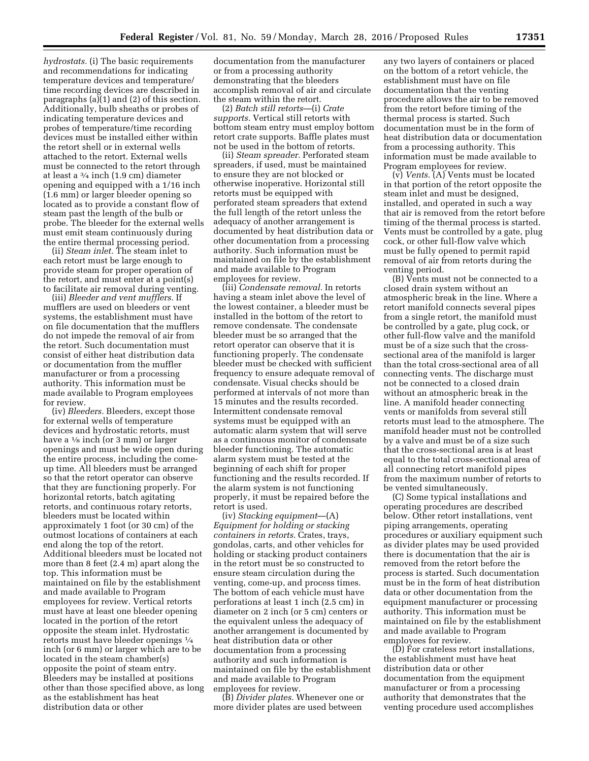*hydrostats.* (i) The basic requirements and recommendations for indicating temperature devices and temperature/ time recording devices are described in paragraphs  $(a)(1)$  and  $(2)$  of this section. Additionally, bulb sheaths or probes of indicating temperature devices and probes of temperature/time recording devices must be installed either within the retort shell or in external wells attached to the retort. External wells must be connected to the retort through at least a 3⁄4 inch (1.9 cm) diameter opening and equipped with a 1/16 inch (1.6 mm) or larger bleeder opening so located as to provide a constant flow of steam past the length of the bulb or probe. The bleeder for the external wells must emit steam continuously during the entire thermal processing period.

(ii) *Steam inlet.* The steam inlet to each retort must be large enough to provide steam for proper operation of the retort, and must enter at a point(s) to facilitate air removal during venting.

(iii) *Bleeder and vent mufflers.* If mufflers are used on bleeders or vent systems, the establishment must have on file documentation that the mufflers do not impede the removal of air from the retort. Such documentation must consist of either heat distribution data or documentation from the muffler manufacturer or from a processing authority. This information must be made available to Program employees for review.

(iv) *Bleeders.* Bleeders, except those for external wells of temperature devices and hydrostatic retorts, must have a  $\frac{1}{8}$  inch (or 3 mm) or larger openings and must be wide open during the entire process, including the comeup time. All bleeders must be arranged so that the retort operator can observe that they are functioning properly. For horizontal retorts, batch agitating retorts, and continuous rotary retorts, bleeders must be located within approximately 1 foot (or 30 cm) of the outmost locations of containers at each end along the top of the retort. Additional bleeders must be located not more than 8 feet (2.4 m) apart along the top. This information must be maintained on file by the establishment and made available to Program employees for review. Vertical retorts must have at least one bleeder opening located in the portion of the retort opposite the steam inlet. Hydrostatic retorts must have bleeder openings 1⁄4 inch (or 6 mm) or larger which are to be located in the steam chamber(s) opposite the point of steam entry. Bleeders may be installed at positions other than those specified above, as long as the establishment has heat distribution data or other

documentation from the manufacturer or from a processing authority demonstrating that the bleeders accomplish removal of air and circulate the steam within the retort.

(2) *Batch still retorts*—(i) *Crate supports.* Vertical still retorts with bottom steam entry must employ bottom retort crate supports. Baffle plates must not be used in the bottom of retorts.

(ii) *Steam spreader.* Perforated steam spreaders, if used, must be maintained to ensure they are not blocked or otherwise inoperative. Horizontal still retorts must be equipped with perforated steam spreaders that extend the full length of the retort unless the adequacy of another arrangement is documented by heat distribution data or other documentation from a processing authority. Such information must be maintained on file by the establishment and made available to Program employees for review.

(iii) *Condensate removal.* In retorts having a steam inlet above the level of the lowest container, a bleeder must be installed in the bottom of the retort to remove condensate. The condensate bleeder must be so arranged that the retort operator can observe that it is functioning properly. The condensate bleeder must be checked with sufficient frequency to ensure adequate removal of condensate. Visual checks should be performed at intervals of not more than 15 minutes and the results recorded. Intermittent condensate removal systems must be equipped with an automatic alarm system that will serve as a continuous monitor of condensate bleeder functioning. The automatic alarm system must be tested at the beginning of each shift for proper functioning and the results recorded. If the alarm system is not functioning properly, it must be repaired before the retort is used.

(iv) *Stacking equipment*—(A) *Equipment for holding or stacking containers in retorts.* Crates, trays, gondolas, carts, and other vehicles for holding or stacking product containers in the retort must be so constructed to ensure steam circulation during the venting, come-up, and process times. The bottom of each vehicle must have perforations at least 1 inch (2.5 cm) in diameter on 2 inch (or 5 cm) centers or the equivalent unless the adequacy of another arrangement is documented by heat distribution data or other documentation from a processing authority and such information is maintained on file by the establishment and made available to Program employees for review.

(B) *Divider plates.* Whenever one or more divider plates are used between

any two layers of containers or placed on the bottom of a retort vehicle, the establishment must have on file documentation that the venting procedure allows the air to be removed from the retort before timing of the thermal process is started. Such documentation must be in the form of heat distribution data or documentation from a processing authority. This information must be made available to Program employees for review.

(v) *Vents.* (A) Vents must be located in that portion of the retort opposite the steam inlet and must be designed, installed, and operated in such a way that air is removed from the retort before timing of the thermal process is started. Vents must be controlled by a gate, plug cock, or other full-flow valve which must be fully opened to permit rapid removal of air from retorts during the venting period.

(B) Vents must not be connected to a closed drain system without an atmospheric break in the line. Where a retort manifold connects several pipes from a single retort, the manifold must be controlled by a gate, plug cock, or other full-flow valve and the manifold must be of a size such that the crosssectional area of the manifold is larger than the total cross-sectional area of all connecting vents. The discharge must not be connected to a closed drain without an atmospheric break in the line. A manifold header connecting vents or manifolds from several still retorts must lead to the atmosphere. The manifold header must not be controlled by a valve and must be of a size such that the cross-sectional area is at least equal to the total cross-sectional area of all connecting retort manifold pipes from the maximum number of retorts to be vented simultaneously.

(C) Some typical installations and operating procedures are described below. Other retort installations, vent piping arrangements, operating procedures or auxiliary equipment such as divider plates may be used provided there is documentation that the air is removed from the retort before the process is started. Such documentation must be in the form of heat distribution data or other documentation from the equipment manufacturer or processing authority. This information must be maintained on file by the establishment and made available to Program employees for review.

(D) For crateless retort installations, the establishment must have heat distribution data or other documentation from the equipment manufacturer or from a processing authority that demonstrates that the venting procedure used accomplishes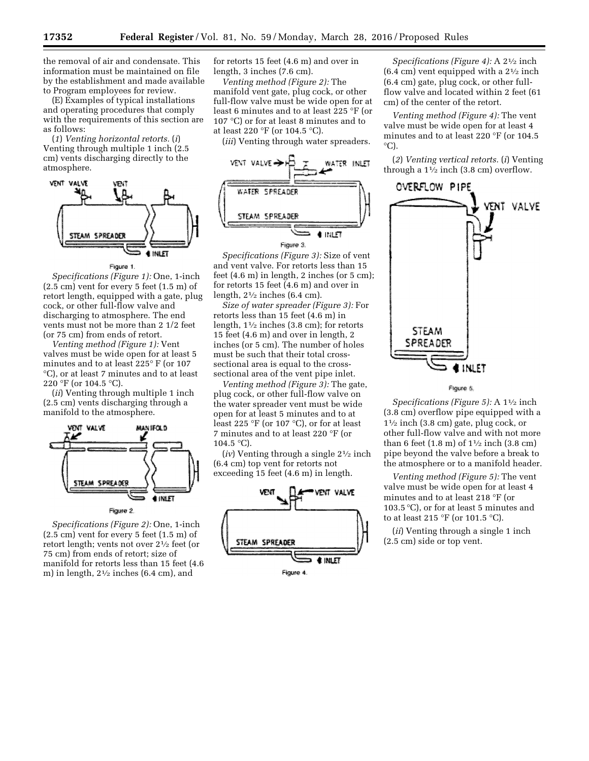the removal of air and condensate. This information must be maintained on file by the establishment and made available to Program employees for review.

(E) Examples of typical installations and operating procedures that comply with the requirements of this section are as follows:

(*1*) *Venting horizontal retorts.* (*i*) Venting through multiple 1 inch (2.5 cm) vents discharging directly to the atmosphere.



#### Figure 1.

*Specifications (Figure 1):* One, 1-inch  $(2.5 \text{ cm})$  vent for every 5 feet  $(1.5 \text{ m})$  of retort length, equipped with a gate, plug cock, or other full-flow valve and discharging to atmosphere. The end vents must not be more than 2 1/2 feet (or 75 cm) from ends of retort.

*Venting method (Figure 1):* Vent valves must be wide open for at least 5 minutes and to at least 225° F (or 107 °C), or at least 7 minutes and to at least 220 °F (or 104.5 °C).

(*ii*) Venting through multiple 1 inch (2.5 cm) vents discharging through a manifold to the atmosphere.



*Specifications (Figure 2):* One, 1-inch  $(2.5 \text{ cm})$  vent for every 5 feet  $(1.5 \text{ m})$  of retort length; vents not over 21⁄2 feet (or 75 cm) from ends of retort; size of manifold for retorts less than 15 feet (4.6 m) in length,  $2\frac{1}{2}$  inches (6.4 cm), and

for retorts 15 feet (4.6 m) and over in length, 3 inches (7.6 cm).

*Venting method (Figure 2):* The manifold vent gate, plug cock, or other full-flow valve must be wide open for at least 6 minutes and to at least 225 °F (or 107 °C) or for at least 8 minutes and to at least 220 °F (or 104.5 °C).

(*iii*) Venting through water spreaders.



*Specifications (Figure 3):* Size of vent and vent valve. For retorts less than 15 feet (4.6 m) in length, 2 inches (or 5 cm); for retorts 15 feet (4.6 m) and over in length, 21⁄2 inches (6.4 cm).

*Size of water spreader (Figure 3):* For retorts less than 15 feet (4.6 m) in length,  $1\frac{1}{2}$  inches (3.8 cm); for retorts 15 feet (4.6 m) and over in length, 2 inches (or 5 cm). The number of holes must be such that their total crosssectional area is equal to the crosssectional area of the vent pipe inlet.

*Venting method (Figure 3):* The gate, plug cock, or other full-flow valve on the water spreader vent must be wide open for at least 5 minutes and to at least 225 °F (or 107 °C), or for at least 7 minutes and to at least 220 °F (or  $104.5 °C$ ).

(*iv*) Venting through a single 21⁄2 inch (6.4 cm) top vent for retorts not exceeding 15 feet (4.6 m) in length.



Figure 4

*Specifications (Figure 4):* A 21⁄2 inch  $(6.4 \text{ cm})$  vent equipped with a  $2\frac{1}{2}$  inch (6.4 cm) gate, plug cock, or other fullflow valve and located within 2 feet (61 cm) of the center of the retort.

*Venting method (Figure 4):* The vent valve must be wide open for at least 4 minutes and to at least 220 °F (or 104.5  $\mathrm{^{\circ}C}$ ).

(*2*) *Venting vertical retorts.* (*i*) Venting through a  $1\frac{1}{2}$  inch (3.8 cm) overflow.



Floure 5.

*Specifications (Figure 5):* A 11⁄2 inch (3.8 cm) overflow pipe equipped with a  $1\frac{1}{2}$  inch (3.8 cm) gate, plug cock, or other full-flow valve and with not more than 6 feet  $(1.8 \text{ m})$  of  $1\frac{1}{2}$  inch  $(3.8 \text{ cm})$ pipe beyond the valve before a break to the atmosphere or to a manifold header.

*Venting method (Figure 5):* The vent valve must be wide open for at least 4 minutes and to at least 218 °F (or 103.5 °C), or for at least 5 minutes and to at least 215 °F (or 101.5 °C).

(*ii*) Venting through a single 1 inch (2.5 cm) side or top vent.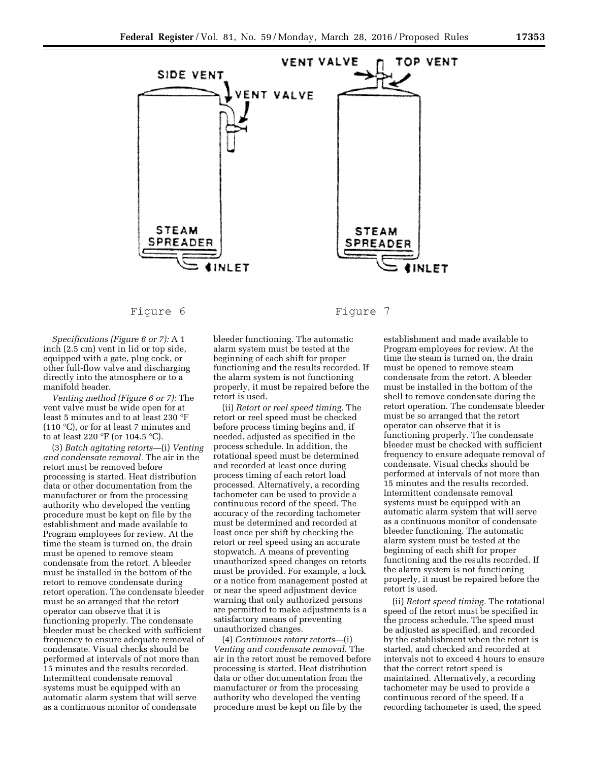

# Figure 6

*Specifications (Figure 6 or 7):* A 1 inch (2.5 cm) vent in lid or top side, equipped with a gate, plug cock, or other full-flow valve and discharging directly into the atmosphere or to a manifold header.

*Venting method (Figure 6 or 7):* The vent valve must be wide open for at least 5 minutes and to at least 230 °F (110 °C), or for at least 7 minutes and to at least 220 °F (or 104.5 °C).

(3) *Batch agitating retorts*—(i) *Venting and condensate removal.* The air in the retort must be removed before processing is started. Heat distribution data or other documentation from the manufacturer or from the processing authority who developed the venting procedure must be kept on file by the establishment and made available to Program employees for review. At the time the steam is turned on, the drain must be opened to remove steam condensate from the retort. A bleeder must be installed in the bottom of the retort to remove condensate during retort operation. The condensate bleeder must be so arranged that the retort operator can observe that it is functioning properly. The condensate bleeder must be checked with sufficient frequency to ensure adequate removal of condensate. Visual checks should be performed at intervals of not more than 15 minutes and the results recorded. Intermittent condensate removal systems must be equipped with an automatic alarm system that will serve as a continuous monitor of condensate

bleeder functioning. The automatic alarm system must be tested at the beginning of each shift for proper functioning and the results recorded. If the alarm system is not functioning properly, it must be repaired before the retort is used.

(ii) *Retort or reel speed timing.* The retort or reel speed must be checked before process timing begins and, if needed, adjusted as specified in the process schedule. In addition, the rotational speed must be determined and recorded at least once during process timing of each retort load processed. Alternatively, a recording tachometer can be used to provide a continuous record of the speed. The accuracy of the recording tachometer must be determined and recorded at least once per shift by checking the retort or reel speed using an accurate stopwatch. A means of preventing unauthorized speed changes on retorts must be provided. For example, a lock or a notice from management posted at or near the speed adjustment device warning that only authorized persons are permitted to make adjustments is a satisfactory means of preventing unauthorized changes.

(4) *Continuous rotary retorts*—(i) *Venting and condensate removal.* The air in the retort must be removed before processing is started. Heat distribution data or other documentation from the manufacturer or from the processing authority who developed the venting procedure must be kept on file by the

Figure 7

establishment and made available to Program employees for review. At the time the steam is turned on, the drain must be opened to remove steam condensate from the retort. A bleeder must be installed in the bottom of the shell to remove condensate during the retort operation. The condensate bleeder must be so arranged that the retort operator can observe that it is functioning properly. The condensate bleeder must be checked with sufficient frequency to ensure adequate removal of condensate. Visual checks should be performed at intervals of not more than 15 minutes and the results recorded. Intermittent condensate removal systems must be equipped with an automatic alarm system that will serve as a continuous monitor of condensate bleeder functioning. The automatic alarm system must be tested at the beginning of each shift for proper functioning and the results recorded. If the alarm system is not functioning properly, it must be repaired before the retort is used.

(ii) *Retort speed timing.* The rotational speed of the retort must be specified in the process schedule. The speed must be adjusted as specified, and recorded by the establishment when the retort is started, and checked and recorded at intervals not to exceed 4 hours to ensure that the correct retort speed is maintained. Alternatively, a recording tachometer may be used to provide a continuous record of the speed. If a recording tachometer is used, the speed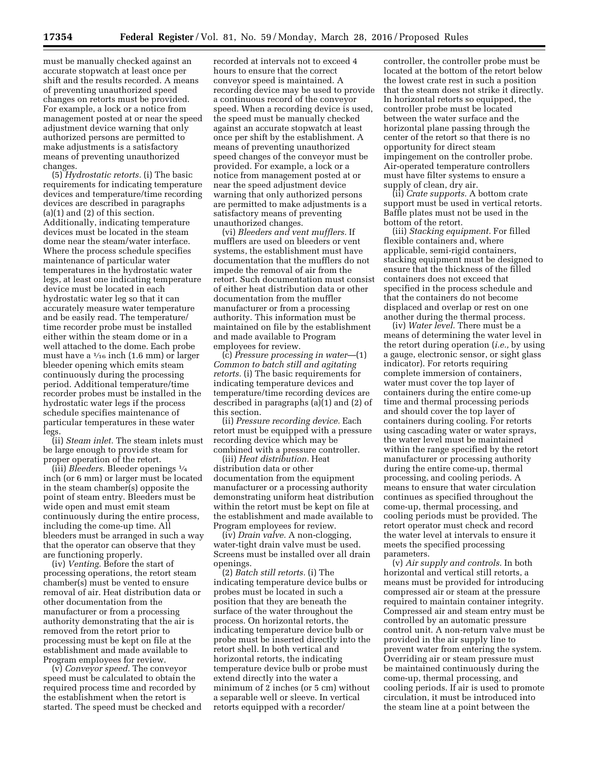must be manually checked against an accurate stopwatch at least once per shift and the results recorded. A means of preventing unauthorized speed changes on retorts must be provided. For example, a lock or a notice from management posted at or near the speed adjustment device warning that only authorized persons are permitted to make adjustments is a satisfactory means of preventing unauthorized changes.

(5) *Hydrostatic retorts.* (i) The basic requirements for indicating temperature devices and temperature/time recording devices are described in paragraphs (a)(1) and (2) of this section. Additionally, indicating temperature devices must be located in the steam dome near the steam/water interface. Where the process schedule specifies maintenance of particular water temperatures in the hydrostatic water legs, at least one indicating temperature device must be located in each hydrostatic water leg so that it can accurately measure water temperature and be easily read. The temperature/ time recorder probe must be installed either within the steam dome or in a well attached to the dome. Each probe must have a  $\frac{1}{16}$  inch (1.6 mm) or larger bleeder opening which emits steam continuously during the processing period. Additional temperature/time recorder probes must be installed in the hydrostatic water legs if the process schedule specifies maintenance of particular temperatures in these water legs.

(ii) *Steam inlet.* The steam inlets must be large enough to provide steam for proper operation of the retort.

(iii) *Bleeders.* Bleeder openings 1⁄4 inch (or 6 mm) or larger must be located in the steam chamber(s) opposite the point of steam entry. Bleeders must be wide open and must emit steam continuously during the entire process, including the come-up time. All bleeders must be arranged in such a way that the operator can observe that they are functioning properly.

(iv) *Venting.* Before the start of processing operations, the retort steam chamber(s) must be vented to ensure removal of air. Heat distribution data or other documentation from the manufacturer or from a processing authority demonstrating that the air is removed from the retort prior to processing must be kept on file at the establishment and made available to Program employees for review.

(v) *Conveyor speed.* The conveyor speed must be calculated to obtain the required process time and recorded by the establishment when the retort is started. The speed must be checked and

recorded at intervals not to exceed 4 hours to ensure that the correct conveyor speed is maintained. A recording device may be used to provide a continuous record of the conveyor speed. When a recording device is used, the speed must be manually checked against an accurate stopwatch at least once per shift by the establishment. A means of preventing unauthorized speed changes of the conveyor must be provided. For example, a lock or a notice from management posted at or near the speed adjustment device warning that only authorized persons are permitted to make adjustments is a satisfactory means of preventing unauthorized changes.

(vi) *Bleeders and vent mufflers.* If mufflers are used on bleeders or vent systems, the establishment must have documentation that the mufflers do not impede the removal of air from the retort. Such documentation must consist of either heat distribution data or other documentation from the muffler manufacturer or from a processing authority. This information must be maintained on file by the establishment and made available to Program employees for review.

(c) *Pressure processing in water*—(1) *Common to batch still and agitating retorts.* (i) The basic requirements for indicating temperature devices and temperature/time recording devices are described in paragraphs (a)(1) and (2) of this section.

(ii) *Pressure recording device.* Each retort must be equipped with a pressure recording device which may be combined with a pressure controller.

(iii) *Heat distribution.* Heat distribution data or other documentation from the equipment manufacturer or a processing authority demonstrating uniform heat distribution within the retort must be kept on file at the establishment and made available to Program employees for review.

(iv) *Drain valve.* A non-clogging, water-tight drain valve must be used. Screens must be installed over all drain openings.

(2) *Batch still retorts.* (i) The indicating temperature device bulbs or probes must be located in such a position that they are beneath the surface of the water throughout the process. On horizontal retorts, the indicating temperature device bulb or probe must be inserted directly into the retort shell. In both vertical and horizontal retorts, the indicating temperature device bulb or probe must extend directly into the water a minimum of 2 inches (or 5 cm) without a separable well or sleeve. In vertical retorts equipped with a recorder/

controller, the controller probe must be located at the bottom of the retort below the lowest crate rest in such a position that the steam does not strike it directly. In horizontal retorts so equipped, the controller probe must be located between the water surface and the horizontal plane passing through the center of the retort so that there is no opportunity for direct steam impingement on the controller probe. Air-operated temperature controllers must have filter systems to ensure a supply of clean, dry air.

(ii) *Crate supports.* A bottom crate support must be used in vertical retorts. Baffle plates must not be used in the bottom of the retort.

(iii) *Stacking equipment.* For filled flexible containers and, where applicable, semi-rigid containers, stacking equipment must be designed to ensure that the thickness of the filled containers does not exceed that specified in the process schedule and that the containers do not become displaced and overlap or rest on one another during the thermal process.

(iv) *Water level.* There must be a means of determining the water level in the retort during operation (*i.e.,* by using a gauge, electronic sensor, or sight glass indicator). For retorts requiring complete immersion of containers, water must cover the top layer of containers during the entire come-up time and thermal processing periods and should cover the top layer of containers during cooling. For retorts using cascading water or water sprays, the water level must be maintained within the range specified by the retort manufacturer or processing authority during the entire come-up, thermal processing, and cooling periods. A means to ensure that water circulation continues as specified throughout the come-up, thermal processing, and cooling periods must be provided. The retort operator must check and record the water level at intervals to ensure it meets the specified processing parameters.

(v) *Air supply and controls.* In both horizontal and vertical still retorts, a means must be provided for introducing compressed air or steam at the pressure required to maintain container integrity. Compressed air and steam entry must be controlled by an automatic pressure control unit. A non-return valve must be provided in the air supply line to prevent water from entering the system. Overriding air or steam pressure must be maintained continuously during the come-up, thermal processing, and cooling periods. If air is used to promote circulation, it must be introduced into the steam line at a point between the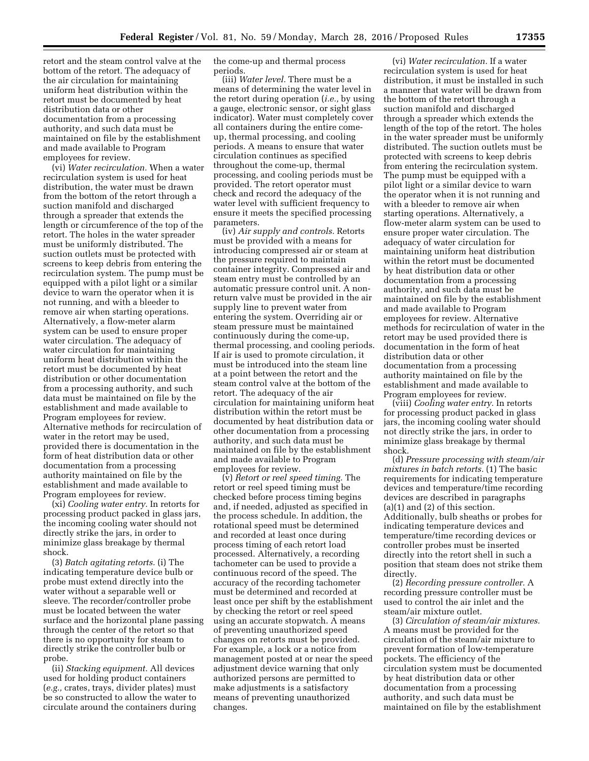retort and the steam control valve at the bottom of the retort. The adequacy of the air circulation for maintaining uniform heat distribution within the retort must be documented by heat distribution data or other documentation from a processing authority, and such data must be maintained on file by the establishment and made available to Program employees for review.

(vi) *Water recirculation.* When a water recirculation system is used for heat distribution, the water must be drawn from the bottom of the retort through a suction manifold and discharged through a spreader that extends the length or circumference of the top of the retort. The holes in the water spreader must be uniformly distributed. The suction outlets must be protected with screens to keep debris from entering the recirculation system. The pump must be equipped with a pilot light or a similar device to warn the operator when it is not running, and with a bleeder to remove air when starting operations. Alternatively, a flow-meter alarm system can be used to ensure proper water circulation. The adequacy of water circulation for maintaining uniform heat distribution within the retort must be documented by heat distribution or other documentation from a processing authority, and such data must be maintained on file by the establishment and made available to Program employees for review. Alternative methods for recirculation of water in the retort may be used, provided there is documentation in the form of heat distribution data or other documentation from a processing authority maintained on file by the establishment and made available to Program employees for review.

(xi) *Cooling water entry.* In retorts for processing product packed in glass jars, the incoming cooling water should not directly strike the jars, in order to minimize glass breakage by thermal shock.

(3) *Batch agitating retorts.* (i) The indicating temperature device bulb or probe must extend directly into the water without a separable well or sleeve. The recorder/controller probe must be located between the water surface and the horizontal plane passing through the center of the retort so that there is no opportunity for steam to directly strike the controller bulb or probe.

(ii) *Stacking equipment.* All devices used for holding product containers (*e.g.,* crates, trays, divider plates) must be so constructed to allow the water to circulate around the containers during

the come-up and thermal process periods.

(iii) *Water level.* There must be a means of determining the water level in the retort during operation (*i.e.,* by using a gauge, electronic sensor, or sight glass indicator). Water must completely cover all containers during the entire comeup, thermal processing, and cooling periods. A means to ensure that water circulation continues as specified throughout the come-up, thermal processing, and cooling periods must be provided. The retort operator must check and record the adequacy of the water level with sufficient frequency to ensure it meets the specified processing parameters.

(iv) *Air supply and controls.* Retorts must be provided with a means for introducing compressed air or steam at the pressure required to maintain container integrity. Compressed air and steam entry must be controlled by an automatic pressure control unit. A nonreturn valve must be provided in the air supply line to prevent water from entering the system. Overriding air or steam pressure must be maintained continuously during the come-up, thermal processing, and cooling periods. If air is used to promote circulation, it must be introduced into the steam line at a point between the retort and the steam control valve at the bottom of the retort. The adequacy of the air circulation for maintaining uniform heat distribution within the retort must be documented by heat distribution data or other documentation from a processing authority, and such data must be maintained on file by the establishment and made available to Program employees for review.

(v) *Retort or reel speed timing.* The retort or reel speed timing must be checked before process timing begins and, if needed, adjusted as specified in the process schedule. In addition, the rotational speed must be determined and recorded at least once during process timing of each retort load processed. Alternatively, a recording tachometer can be used to provide a continuous record of the speed. The accuracy of the recording tachometer must be determined and recorded at least once per shift by the establishment by checking the retort or reel speed using an accurate stopwatch. A means of preventing unauthorized speed changes on retorts must be provided. For example, a lock or a notice from management posted at or near the speed adjustment device warning that only authorized persons are permitted to make adjustments is a satisfactory means of preventing unauthorized changes.

(vi) *Water recirculation.* If a water recirculation system is used for heat distribution, it must be installed in such a manner that water will be drawn from the bottom of the retort through a suction manifold and discharged through a spreader which extends the length of the top of the retort. The holes in the water spreader must be uniformly distributed. The suction outlets must be protected with screens to keep debris from entering the recirculation system. The pump must be equipped with a pilot light or a similar device to warn the operator when it is not running and with a bleeder to remove air when starting operations. Alternatively, a flow-meter alarm system can be used to ensure proper water circulation. The adequacy of water circulation for maintaining uniform heat distribution within the retort must be documented by heat distribution data or other documentation from a processing authority, and such data must be maintained on file by the establishment and made available to Program employees for review. Alternative methods for recirculation of water in the retort may be used provided there is documentation in the form of heat distribution data or other documentation from a processing authority maintained on file by the establishment and made available to Program employees for review.

(viii) *Cooling water entry.* In retorts for processing product packed in glass jars, the incoming cooling water should not directly strike the jars, in order to minimize glass breakage by thermal shock.

(d) *Pressure processing with steam/air mixtures in batch retorts.* (1) The basic requirements for indicating temperature devices and temperature/time recording devices are described in paragraphs  $(a)(1)$  and  $(2)$  of this section. Additionally, bulb sheaths or probes for indicating temperature devices and temperature/time recording devices or controller probes must be inserted directly into the retort shell in such a position that steam does not strike them directly.

(2) *Recording pressure controller.* A recording pressure controller must be used to control the air inlet and the steam/air mixture outlet.

(3) *Circulation of steam/air mixtures.*  A means must be provided for the circulation of the steam/air mixture to prevent formation of low-temperature pockets. The efficiency of the circulation system must be documented by heat distribution data or other documentation from a processing authority, and such data must be maintained on file by the establishment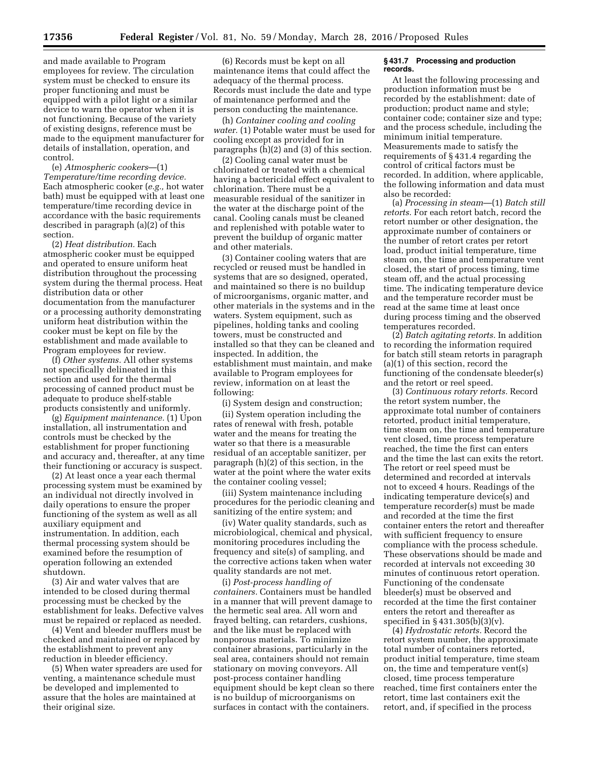and made available to Program employees for review. The circulation system must be checked to ensure its proper functioning and must be equipped with a pilot light or a similar device to warn the operator when it is not functioning. Because of the variety of existing designs, reference must be made to the equipment manufacturer for details of installation, operation, and control.

(e) *Atmospheric cookers*—(1) *Temperature/time recording device.*  Each atmospheric cooker (*e.g.,* hot water bath) must be equipped with at least one temperature/time recording device in accordance with the basic requirements described in paragraph (a)(2) of this section.

(2) *Heat distribution.* Each atmospheric cooker must be equipped and operated to ensure uniform heat distribution throughout the processing system during the thermal process. Heat distribution data or other documentation from the manufacturer or a processing authority demonstrating uniform heat distribution within the cooker must be kept on file by the establishment and made available to Program employees for review.

(f) *Other systems.* All other systems not specifically delineated in this section and used for the thermal processing of canned product must be adequate to produce shelf-stable products consistently and uniformly.

(g) *Equipment maintenance.* (1) Upon installation, all instrumentation and controls must be checked by the establishment for proper functioning and accuracy and, thereafter, at any time their functioning or accuracy is suspect.

(2) At least once a year each thermal processing system must be examined by an individual not directly involved in daily operations to ensure the proper functioning of the system as well as all auxiliary equipment and instrumentation. In addition, each thermal processing system should be examined before the resumption of operation following an extended shutdown.

(3) Air and water valves that are intended to be closed during thermal processing must be checked by the establishment for leaks. Defective valves must be repaired or replaced as needed.

(4) Vent and bleeder mufflers must be checked and maintained or replaced by the establishment to prevent any reduction in bleeder efficiency.

(5) When water spreaders are used for venting, a maintenance schedule must be developed and implemented to assure that the holes are maintained at their original size.

(6) Records must be kept on all maintenance items that could affect the adequacy of the thermal process. Records must include the date and type of maintenance performed and the person conducting the maintenance.

(h) *Container cooling and cooling water.* (1) Potable water must be used for cooling except as provided for in paragraphs (h)(2) and (3) of this section.

(2) Cooling canal water must be chlorinated or treated with a chemical having a bactericidal effect equivalent to chlorination. There must be a measurable residual of the sanitizer in the water at the discharge point of the canal. Cooling canals must be cleaned and replenished with potable water to prevent the buildup of organic matter and other materials.

(3) Container cooling waters that are recycled or reused must be handled in systems that are so designed, operated, and maintained so there is no buildup of microorganisms, organic matter, and other materials in the systems and in the waters. System equipment, such as pipelines, holding tanks and cooling towers, must be constructed and installed so that they can be cleaned and inspected. In addition, the establishment must maintain, and make available to Program employees for review, information on at least the following:

(i) System design and construction;

(ii) System operation including the rates of renewal with fresh, potable water and the means for treating the water so that there is a measurable residual of an acceptable sanitizer, per paragraph (h)(2) of this section, in the water at the point where the water exits the container cooling vessel;

(iii) System maintenance including procedures for the periodic cleaning and sanitizing of the entire system; and

(iv) Water quality standards, such as microbiological, chemical and physical, monitoring procedures including the frequency and site(s) of sampling, and the corrective actions taken when water quality standards are not met.

(i) *Post-process handling of containers.* Containers must be handled in a manner that will prevent damage to the hermetic seal area. All worn and frayed belting, can retarders, cushions, and the like must be replaced with nonporous materials. To minimize container abrasions, particularly in the seal area, containers should not remain stationary on moving conveyors. All post-process container handling equipment should be kept clean so there is no buildup of microorganisms on surfaces in contact with the containers.

## **§ 431.7 Processing and production records.**

At least the following processing and production information must be recorded by the establishment: date of production; product name and style; container code; container size and type; and the process schedule, including the minimum initial temperature. Measurements made to satisfy the requirements of § 431.4 regarding the control of critical factors must be recorded. In addition, where applicable, the following information and data must also be recorded:

(a) *Processing in steam*—(1) *Batch still retorts.* For each retort batch, record the retort number or other designation, the approximate number of containers or the number of retort crates per retort load, product initial temperature, time steam on, the time and temperature vent closed, the start of process timing, time steam off, and the actual processing time. The indicating temperature device and the temperature recorder must be read at the same time at least once during process timing and the observed temperatures recorded.

(2) *Batch agitating retorts.* In addition to recording the information required for batch still steam retorts in paragraph (a)(1) of this section, record the functioning of the condensate bleeder(s) and the retort or reel speed.

(3) *Continuous rotary retorts.* Record the retort system number, the approximate total number of containers retorted, product initial temperature, time steam on, the time and temperature vent closed, time process temperature reached, the time the first can enters and the time the last can exits the retort. The retort or reel speed must be determined and recorded at intervals not to exceed 4 hours. Readings of the indicating temperature device(s) and temperature recorder(s) must be made and recorded at the time the first container enters the retort and thereafter with sufficient frequency to ensure compliance with the process schedule. These observations should be made and recorded at intervals not exceeding 30 minutes of continuous retort operation. Functioning of the condensate bleeder(s) must be observed and recorded at the time the first container enters the retort and thereafter as specified in § 431.305(b)(3)(v).

(4) *Hydrostatic retorts.* Record the retort system number, the approximate total number of containers retorted, product initial temperature, time steam on, the time and temperature vent(s) closed, time process temperature reached, time first containers enter the retort, time last containers exit the retort, and, if specified in the process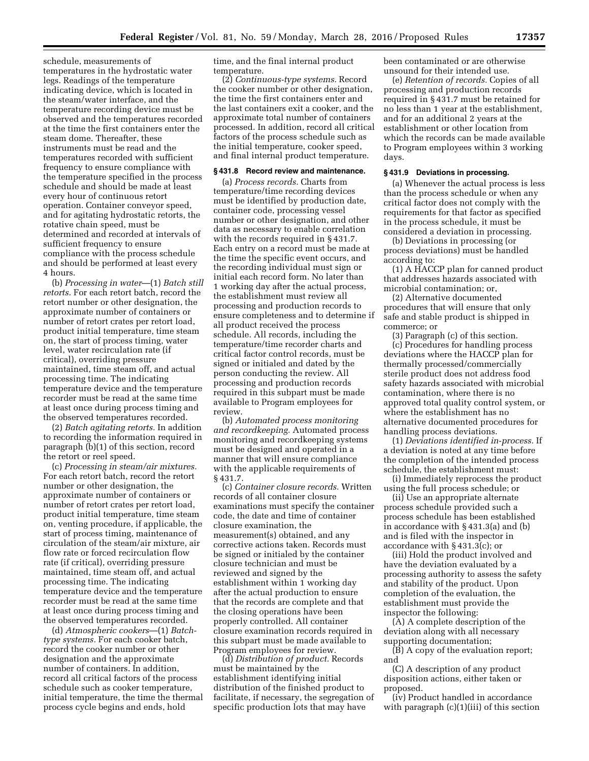schedule, measurements of temperatures in the hydrostatic water legs. Readings of the temperature indicating device, which is located in the steam/water interface, and the temperature recording device must be observed and the temperatures recorded at the time the first containers enter the steam dome. Thereafter, these instruments must be read and the temperatures recorded with sufficient frequency to ensure compliance with the temperature specified in the process schedule and should be made at least every hour of continuous retort operation. Container conveyor speed, and for agitating hydrostatic retorts, the rotative chain speed, must be determined and recorded at intervals of sufficient frequency to ensure compliance with the process schedule and should be performed at least every 4 hours.

(b) *Processing in water*—(1) *Batch still retorts.* For each retort batch, record the retort number or other designation, the approximate number of containers or number of retort crates per retort load, product initial temperature, time steam on, the start of process timing, water level, water recirculation rate (if critical), overriding pressure maintained, time steam off, and actual processing time. The indicating temperature device and the temperature recorder must be read at the same time at least once during process timing and the observed temperatures recorded.

(2) *Batch agitating retorts.* In addition to recording the information required in paragraph (b)(1) of this section, record the retort or reel speed.

(c) *Processing in steam/air mixtures.*  For each retort batch, record the retort number or other designation, the approximate number of containers or number of retort crates per retort load, product initial temperature, time steam on, venting procedure, if applicable, the start of process timing, maintenance of circulation of the steam/air mixture, air flow rate or forced recirculation flow rate (if critical), overriding pressure maintained, time steam off, and actual processing time. The indicating temperature device and the temperature recorder must be read at the same time at least once during process timing and the observed temperatures recorded.

(d) *Atmospheric cookers*—(1) *Batchtype systems.* For each cooker batch, record the cooker number or other designation and the approximate number of containers. In addition, record all critical factors of the process schedule such as cooker temperature, initial temperature, the time the thermal process cycle begins and ends, hold

time, and the final internal product temperature.

(2) *Continuous-type systems.* Record the cooker number or other designation, the time the first containers enter and the last containers exit a cooker, and the approximate total number of containers processed. In addition, record all critical factors of the process schedule such as the initial temperature, cooker speed, and final internal product temperature.

## **§ 431.8 Record review and maintenance.**

(a) *Process records.* Charts from temperature/time recording devices must be identified by production date, container code, processing vessel number or other designation, and other data as necessary to enable correlation with the records required in § 431.7. Each entry on a record must be made at the time the specific event occurs, and the recording individual must sign or initial each record form. No later than 1 working day after the actual process, the establishment must review all processing and production records to ensure completeness and to determine if all product received the process schedule. All records, including the temperature/time recorder charts and critical factor control records, must be signed or initialed and dated by the person conducting the review. All processing and production records required in this subpart must be made available to Program employees for review.

(b) *Automated process monitoring and recordkeeping.* Automated process monitoring and recordkeeping systems must be designed and operated in a manner that will ensure compliance with the applicable requirements of § 431.7.

(c) *Container closure records.* Written records of all container closure examinations must specify the container code, the date and time of container closure examination, the measurement(s) obtained, and any corrective actions taken. Records must be signed or initialed by the container closure technician and must be reviewed and signed by the establishment within 1 working day after the actual production to ensure that the records are complete and that the closing operations have been properly controlled. All container closure examination records required in this subpart must be made available to Program employees for review.

(d) *Distribution of product.* Records must be maintained by the establishment identifying initial distribution of the finished product to facilitate, if necessary, the segregation of specific production lots that may have

been contaminated or are otherwise unsound for their intended use.

(e) *Retention of records.* Copies of all processing and production records required in § 431.7 must be retained for no less than 1 year at the establishment, and for an additional 2 years at the establishment or other location from which the records can be made available to Program employees within 3 working days.

# **§ 431.9 Deviations in processing.**

(a) Whenever the actual process is less than the process schedule or when any critical factor does not comply with the requirements for that factor as specified in the process schedule, it must be considered a deviation in processing.

(b) Deviations in processing (or process deviations) must be handled according to:

(1) A HACCP plan for canned product that addresses hazards associated with microbial contamination; or,

(2) Alternative documented procedures that will ensure that only safe and stable product is shipped in commerce; or

(3) Paragraph (c) of this section. (c) Procedures for handling process deviations where the HACCP plan for thermally processed/commercially sterile product does not address food safety hazards associated with microbial contamination, where there is no approved total quality control system, or where the establishment has no alternative documented procedures for handling process deviations.

(1) *Deviations identified in-process.* If a deviation is noted at any time before the completion of the intended process schedule, the establishment must:

(i) Immediately reprocess the product using the full process schedule; or

(ii) Use an appropriate alternate process schedule provided such a process schedule has been established in accordance with § 431.3(a) and (b) and is filed with the inspector in accordance with § 431.3(c); or

(iii) Hold the product involved and have the deviation evaluated by a processing authority to assess the safety and stability of the product. Upon completion of the evaluation, the establishment must provide the inspector the following:

(A) A complete description of the deviation along with all necessary supporting documentation;

(B) A copy of the evaluation report; and

(C) A description of any product disposition actions, either taken or proposed.

(iv) Product handled in accordance with paragraph (c)(1)(iii) of this section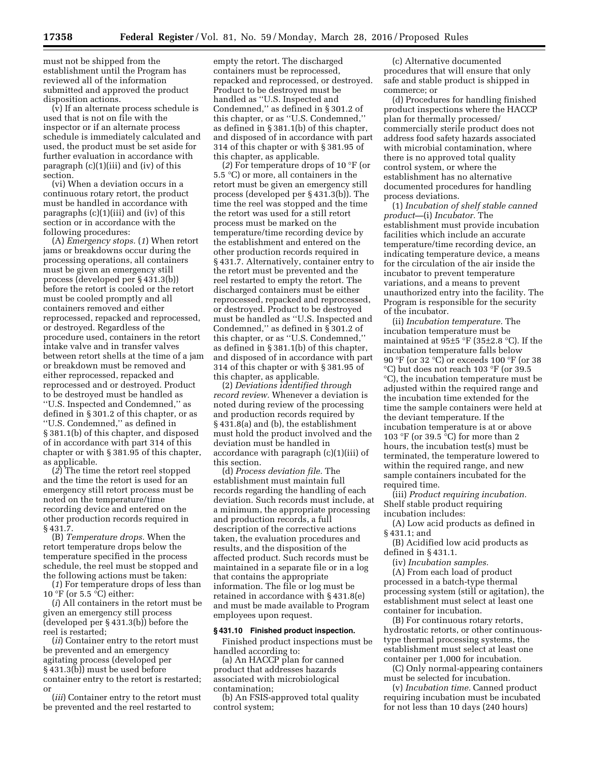must not be shipped from the establishment until the Program has reviewed all of the information submitted and approved the product disposition actions.

(v) If an alternate process schedule is used that is not on file with the inspector or if an alternate process schedule is immediately calculated and used, the product must be set aside for further evaluation in accordance with paragraph (c)(1)(iii) and (iv) of this section.

(vi) When a deviation occurs in a continuous rotary retort, the product must be handled in accordance with paragraphs (c)(1)(iii) and (iv) of this section or in accordance with the following procedures:

(A) *Emergency stops.* (*1*) When retort jams or breakdowns occur during the processing operations, all containers must be given an emergency still process (developed per § 431.3(b)) before the retort is cooled or the retort must be cooled promptly and all containers removed and either reprocessed, repacked and reprocessed, or destroyed. Regardless of the procedure used, containers in the retort intake valve and in transfer valves between retort shells at the time of a jam or breakdown must be removed and either reprocessed, repacked and reprocessed and or destroyed. Product to be destroyed must be handled as ''U.S. Inspected and Condemned,'' as defined in § 301.2 of this chapter, or as ''U.S. Condemned,'' as defined in § 381.1(b) of this chapter, and disposed of in accordance with part 314 of this chapter or with § 381.95 of this chapter, as applicable.

(*2*) The time the retort reel stopped and the time the retort is used for an emergency still retort process must be noted on the temperature/time recording device and entered on the other production records required in § 431.7.

(B) *Temperature drops.* When the retort temperature drops below the temperature specified in the process schedule, the reel must be stopped and the following actions must be taken:

(*1*) For temperature drops of less than 10 °F (or 5.5 °C) either:

(*i*) All containers in the retort must be given an emergency still process (developed per § 431.3(b)) before the reel is restarted;

(*ii*) Container entry to the retort must be prevented and an emergency agitating process (developed per § 431.3(b)) must be used before container entry to the retort is restarted; or

(*iii*) Container entry to the retort must be prevented and the reel restarted to

empty the retort. The discharged containers must be reprocessed, repacked and reprocessed, or destroyed. Product to be destroyed must be handled as ''U.S. Inspected and Condemned,'' as defined in § 301.2 of this chapter, or as ''U.S. Condemned,'' as defined in § 381.1(b) of this chapter, and disposed of in accordance with part 314 of this chapter or with § 381.95 of this chapter, as applicable.

(*2*) For temperature drops of 10 °F (or 5.5 °C) or more, all containers in the retort must be given an emergency still process (developed per § 431.3(b)). The time the reel was stopped and the time the retort was used for a still retort process must be marked on the temperature/time recording device by the establishment and entered on the other production records required in § 431.7. Alternatively, container entry to the retort must be prevented and the reel restarted to empty the retort. The discharged containers must be either reprocessed, repacked and reprocessed, or destroyed. Product to be destroyed must be handled as ''U.S. Inspected and Condemned,'' as defined in § 301.2 of this chapter, or as ''U.S. Condemned,'' as defined in § 381.1(b) of this chapter, and disposed of in accordance with part 314 of this chapter or with § 381.95 of this chapter, as applicable.

(2) *Deviations identified through record review.* Whenever a deviation is noted during review of the processing and production records required by § 431.8(a) and (b), the establishment must hold the product involved and the deviation must be handled in accordance with paragraph (c)(1)(iii) of this section.

(d) *Process deviation file.* The establishment must maintain full records regarding the handling of each deviation. Such records must include, at a minimum, the appropriate processing and production records, a full description of the corrective actions taken, the evaluation procedures and results, and the disposition of the affected product. Such records must be maintained in a separate file or in a log that contains the appropriate information. The file or log must be retained in accordance with § 431.8(e) and must be made available to Program employees upon request.

#### **§ 431.10 Finished product inspection.**

Finished product inspections must be handled according to:

(a) An HACCP plan for canned product that addresses hazards associated with microbiological contamination;

(b) An FSIS-approved total quality control system;

(c) Alternative documented procedures that will ensure that only safe and stable product is shipped in commerce; or

(d) Procedures for handling finished product inspections where the HACCP plan for thermally processed/ commercially sterile product does not address food safety hazards associated with microbial contamination, where there is no approved total quality control system, or where the establishment has no alternative documented procedures for handling process deviations.

(1) *Incubation of shelf stable canned product—*(i) *Incubator.* The establishment must provide incubation facilities which include an accurate temperature/time recording device, an indicating temperature device, a means for the circulation of the air inside the incubator to prevent temperature variations, and a means to prevent unauthorized entry into the facility. The Program is responsible for the security of the incubator.

(ii) *Incubation temperature.* The incubation temperature must be maintained at 95±5 °F (35±2.8 °C). If the incubation temperature falls below 90 °F (or 32 °C) or exceeds 100 °F (or 38 °C) but does not reach 103 °F (or 39.5 °C), the incubation temperature must be adjusted within the required range and the incubation time extended for the time the sample containers were held at the deviant temperature. If the incubation temperature is at or above 103 °F (or 39.5 °C) for more than 2 hours, the incubation test(s) must be terminated, the temperature lowered to within the required range, and new sample containers incubated for the required time.

(iii) *Product requiring incubation.*  Shelf stable product requiring incubation includes:

(A) Low acid products as defined in § 431.1; and

(B) Acidified low acid products as defined in § 431.1.

(iv) *Incubation samples.* 

(A) From each load of product processed in a batch-type thermal processing system (still or agitation), the establishment must select at least one container for incubation.

(B) For continuous rotary retorts, hydrostatic retorts, or other continuoustype thermal processing systems, the establishment must select at least one container per 1,000 for incubation.

(C) Only normal-appearing containers must be selected for incubation.

(v) *Incubation time.* Canned product requiring incubation must be incubated for not less than 10 days (240 hours)